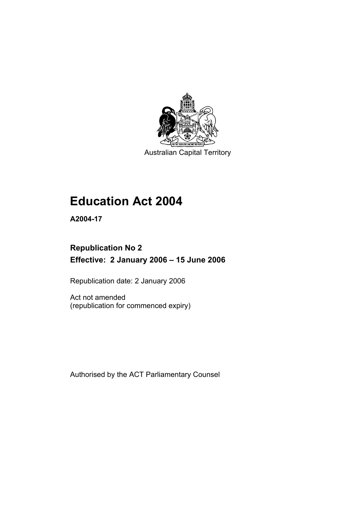

Australian Capital Territory

# **Education Act 2004**

**A2004-17** 

### **Republication No 2 Effective: 2 January 2006 – 15 June 2006**

Republication date: 2 January 2006

Act not amended (republication for commenced expiry)

Authorised by the ACT Parliamentary Counsel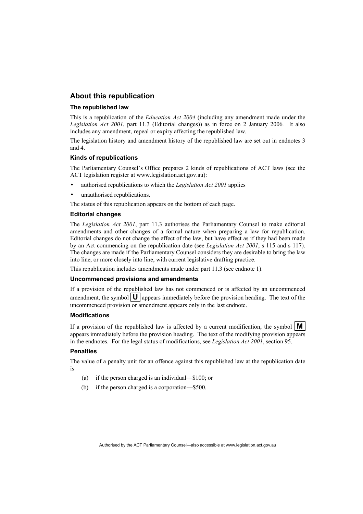### **About this republication**

#### **The republished law**

This is a republication of the *Education Act 2004* (including any amendment made under the *Legislation Act 2001*, part 11.3 (Editorial changes)) as in force on 2 January 2006*.* It also includes any amendment, repeal or expiry affecting the republished law.

The legislation history and amendment history of the republished law are set out in endnotes 3 and 4.

### **Kinds of republications**

The Parliamentary Counsel's Office prepares 2 kinds of republications of ACT laws (see the ACT legislation register at www.legislation.act.gov.au):

- authorised republications to which the *Legislation Act 2001* applies
- unauthorised republications.

The status of this republication appears on the bottom of each page.

#### **Editorial changes**

The *Legislation Act 2001*, part 11.3 authorises the Parliamentary Counsel to make editorial amendments and other changes of a formal nature when preparing a law for republication. Editorial changes do not change the effect of the law, but have effect as if they had been made by an Act commencing on the republication date (see *Legislation Act 2001*, s 115 and s 117). The changes are made if the Parliamentary Counsel considers they are desirable to bring the law into line, or more closely into line, with current legislative drafting practice.

This republication includes amendments made under part 11.3 (see endnote 1).

#### **Uncommenced provisions and amendments**

If a provision of the republished law has not commenced or is affected by an uncommenced amendment, the symbol  $\mathbf{U}$  appears immediately before the provision heading. The text of the uncommenced provision or amendment appears only in the last endnote.

#### **Modifications**

If a provision of the republished law is affected by a current modification, the symbol  $\mathbf{M}$ appears immediately before the provision heading. The text of the modifying provision appears in the endnotes. For the legal status of modifications, see *Legislation Act 2001*, section 95.

#### **Penalties**

The value of a penalty unit for an offence against this republished law at the republication date is—

- (a) if the person charged is an individual—\$100; or
- (b) if the person charged is a corporation—\$500.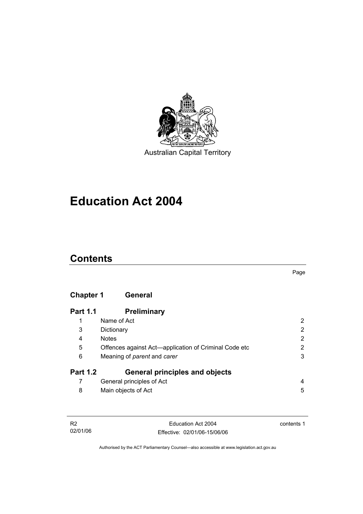

Australian Capital Territory

# **Education Act 2004**

### **Contents**

### **Chapter 1 General**

| <b>Part 1.1</b> | Preliminary                                           |   |
|-----------------|-------------------------------------------------------|---|
| 1               | Name of Act                                           | 2 |
| 3               | Dictionary                                            | 2 |
| 4               | <b>Notes</b>                                          | 2 |
| 5               | Offences against Act-application of Criminal Code etc | 2 |
| 6               | Meaning of <i>parent</i> and <i>carer</i>             | 3 |
| <b>Part 1.2</b> | <b>General principles and objects</b>                 |   |
|                 | General principles of Act                             | 4 |
| 8               | Main objects of Act                                   | 5 |
|                 |                                                       |   |

| - R2     | Education Act 2004           | contents 1 |
|----------|------------------------------|------------|
| 02/01/06 | Effective: 02/01/06-15/06/06 |            |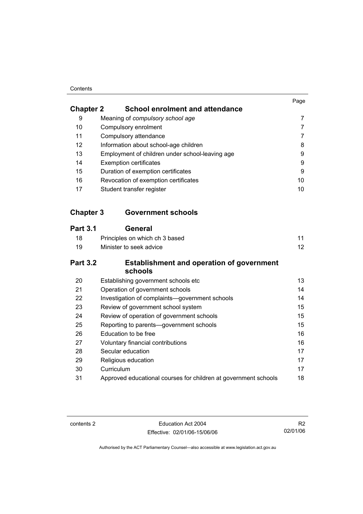#### **Contents**

|                  |                                                             | Page            |
|------------------|-------------------------------------------------------------|-----------------|
| Chapter 2        | <b>School enrolment and attendance</b>                      |                 |
| 9                | Meaning of compulsory school age                            | 7               |
| 10               | Compulsory enrolment                                        | 7               |
| 11               | Compulsory attendance                                       | 7               |
| 12               | Information about school-age children                       | 8               |
| 13               | Employment of children under school-leaving age             | 9               |
| 14               | <b>Exemption certificates</b>                               | 9               |
| 15               | Duration of exemption certificates                          | 9               |
| 16               | Revocation of exemption certificates                        | 10              |
| 17               | Student transfer register                                   | 10              |
| <b>Chapter 3</b> | <b>Government schools</b>                                   |                 |
| <b>Part 3.1</b>  | <b>General</b>                                              |                 |
| 18               | Principles on which ch 3 based                              | 11              |
| 19               | Minister to seek advice                                     | 12 <sup>2</sup> |
| <b>Part 3.2</b>  | <b>Establishment and operation of government</b><br>schools |                 |
| 20               | Establishing government schools etc                         | 13              |
| 21               | Operation of government schools                             | 14              |
| 22               | Investigation of complaints-government schools              | 14              |
| 23               | Review of government school system                          | 15              |
| 24               | Review of operation of government schools                   | 15              |
| 25               | Reporting to parents-government schools                     | 15              |
| 26               | Education to be free                                        | 16              |

contents 2 Education Act 2004 Effective: 02/01/06-15/06/06

R2 02/01/06

Authorised by the ACT Parliamentary Counsel—also accessible at www.legislation.act.gov.au

 27 Voluntary financial contributions 16 28 Secular education 17 29 Religious education 17 30 Curriculum 17 31 Approved educational courses for children at government schools 18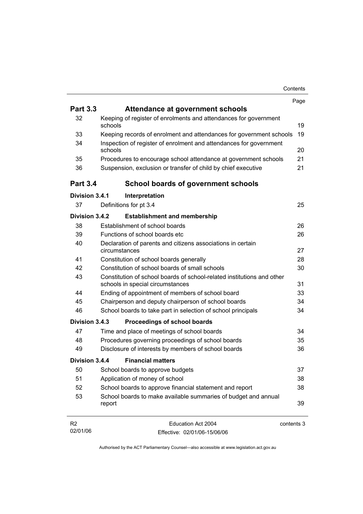|                            |                                                                                                            | Page       |
|----------------------------|------------------------------------------------------------------------------------------------------------|------------|
| <b>Part 3.3</b>            | Attendance at government schools                                                                           |            |
| 32                         | Keeping of register of enrolments and attendances for government<br>schools                                | 19         |
| 33                         | Keeping records of enrolment and attendances for government schools                                        | 19         |
| 34                         | Inspection of register of enrolment and attendances for government<br>schools                              | 20         |
| 35                         | Procedures to encourage school attendance at government schools                                            | 21         |
| 36                         | Suspension, exclusion or transfer of child by chief executive                                              | 21         |
| <b>Part 3.4</b>            | <b>School boards of government schools</b>                                                                 |            |
| Division 3.4.1             | Interpretation                                                                                             |            |
| 37                         | Definitions for pt 3.4                                                                                     | 25         |
| Division 3.4.2             | <b>Establishment and membership</b>                                                                        |            |
| 38                         | Establishment of school boards                                                                             | 26         |
| 39                         | Functions of school boards etc.                                                                            | 26         |
| 40                         | Declaration of parents and citizens associations in certain<br>circumstances                               | 27         |
| 41                         | Constitution of school boards generally                                                                    | 28         |
| 42                         | Constitution of school boards of small schools                                                             | 30         |
| 43                         | Constitution of school boards of school-related institutions and other<br>schools in special circumstances | 31         |
| 44                         | Ending of appointment of members of school board                                                           | 33         |
| 45                         | Chairperson and deputy chairperson of school boards                                                        | 34         |
| 46                         | School boards to take part in selection of school principals                                               | 34         |
| Division 3.4.3             | Proceedings of school boards                                                                               |            |
| 47                         | Time and place of meetings of school boards                                                                | 34         |
| 48                         | Procedures governing proceedings of school boards                                                          | 35         |
| 49                         | Disclosure of interests by members of school boards                                                        | 36         |
| Division 3.4.4             | <b>Financial matters</b>                                                                                   |            |
| 50                         | School boards to approve budgets                                                                           | 37         |
| 51                         | Application of money of school                                                                             | 38         |
| 52                         | School boards to approve financial statement and report                                                    | 38         |
| 53                         | School boards to make available summaries of budget and annual<br>report                                   | 39         |
| R <sub>2</sub><br>02/01/06 | Education Act 2004<br>Effective: 02/01/06-15/06/06                                                         | contents 3 |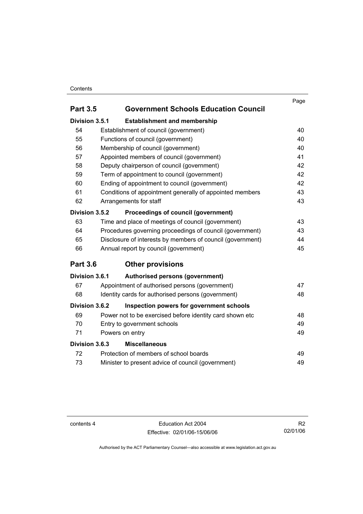### **Contents**

|                 |                                                            | Page |
|-----------------|------------------------------------------------------------|------|
| <b>Part 3.5</b> | <b>Government Schools Education Council</b>                |      |
| Division 3.5.1  | <b>Establishment and membership</b>                        |      |
| 54              | Establishment of council (government)                      | 40   |
| 55              | Functions of council (government)                          | 40   |
| 56              | Membership of council (government)                         | 40   |
| 57              | Appointed members of council (government)                  | 41   |
| 58              | Deputy chairperson of council (government)                 | 42   |
| 59              | Term of appointment to council (government)                | 42   |
| 60              | Ending of appointment to council (government)              | 42   |
| 61              | Conditions of appointment generally of appointed members   | 43   |
| 62              | Arrangements for staff                                     | 43   |
| Division 3.5.2  | Proceedings of council (government)                        |      |
| 63              | Time and place of meetings of council (government)         | 43   |
| 64              | Procedures governing proceedings of council (government)   | 43   |
| 65              | Disclosure of interests by members of council (government) | 44   |
| 66              | Annual report by council (government)                      | 45   |
| <b>Part 3.6</b> | <b>Other provisions</b>                                    |      |
| Division 3.6.1  | <b>Authorised persons (government)</b>                     |      |
| 67              | Appointment of authorised persons (government)             | 47   |
| 68              | Identity cards for authorised persons (government)         | 48   |
| Division 3.6.2  | Inspection powers for government schools                   |      |
| 69              | Power not to be exercised before identity card shown etc   | 48   |
| 70              | Entry to government schools                                | 49   |
| 71              | Powers on entry                                            | 49   |
| Division 3.6.3  | <b>Miscellaneous</b>                                       |      |
| 72              | Protection of members of school boards                     | 49   |
| 73              | Minister to present advice of council (government)         | 49   |
|                 |                                                            |      |

contents 4 Education Act 2004 Effective: 02/01/06-15/06/06

R2 02/01/06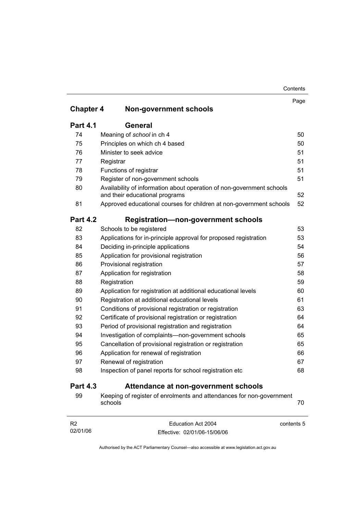| <b>Chapter 4</b> | <b>Non-government schools</b>                                                                           | Page |
|------------------|---------------------------------------------------------------------------------------------------------|------|
| <b>Part 4.1</b>  | General                                                                                                 |      |
| 74               | Meaning of school in ch 4                                                                               | 50   |
| 75               | Principles on which ch 4 based                                                                          | 50   |
| 76               | Minister to seek advice                                                                                 | 51   |
| 77               | Registrar                                                                                               | 51   |
| 78               | Functions of registrar                                                                                  | 51   |
| 79               | Register of non-government schools                                                                      | 51   |
| 80               | Availability of information about operation of non-government schools<br>and their educational programs | 52   |
| 81               | Approved educational courses for children at non-government schools                                     | 52   |
| <b>Part 4.2</b>  | <b>Registration-non-government schools</b>                                                              |      |
| 82               | Schools to be registered                                                                                | 53   |
| 83               | Applications for in-principle approval for proposed registration                                        | 53   |
| 84               | Deciding in-principle applications                                                                      | 54   |
| 85               | Application for provisional registration                                                                | 56   |
| 86               | Provisional registration                                                                                | 57   |
| 87               | Application for registration                                                                            | 58   |
| 88               | Registration                                                                                            | 59   |
| 89               | Application for registration at additional educational levels                                           | 60   |
| 90               | Registration at additional educational levels                                                           | 61   |
| 91               | Conditions of provisional registration or registration                                                  | 63   |
| 92               | Certificate of provisional registration or registration                                                 | 64   |
| 93               | Period of provisional registration and registration                                                     | 64   |
| 94               | Investigation of complaints-non-government schools                                                      | 65   |
| 95               | Cancellation of provisional registration or registration                                                | 65   |
| 96               | Application for renewal of registration                                                                 | 66   |
| 97               | Renewal of registration                                                                                 | 67   |
| 98               | Inspection of panel reports for school registration etc                                                 | 68   |
| <b>Part 4.3</b>  | Attendance at non-government schools                                                                    |      |

| schools                    |                                                    | 70         |
|----------------------------|----------------------------------------------------|------------|
| R <sub>2</sub><br>02/01/06 | Education Act 2004<br>Effective: 02/01/06-15/06/06 | contents 5 |

99 Keeping of register of enrolments and attendances for non-government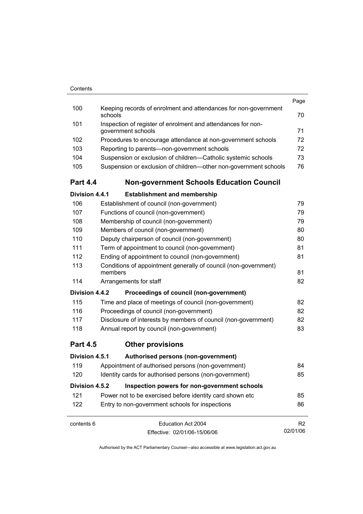| Contents |                                                                            |      |
|----------|----------------------------------------------------------------------------|------|
|          |                                                                            | Page |
| 100      | Keeping records of enrolment and attendances for non-government<br>schools | 70   |
| 101      | Inspection of register of enrolment and attendances for non-               |      |
|          | government schools                                                         | 71   |
| 102      | Procedures to encourage attendance at non-government schools               | 72   |
| 103      | Reporting to parents—non-government schools                                | 72   |
| 104      | Suspension or exclusion of children—Catholic systemic schools              | 73   |
| 105      | Suspension or exclusion of children—other non-government schools           | 76   |
|          |                                                                            |      |

### **Part 4.4 Non-government Schools Education Council**

| Division 4.4.1  | <b>Establishment and membership</b>                             |                |
|-----------------|-----------------------------------------------------------------|----------------|
| 106             | Establishment of council (non-government)                       | 79             |
| 107             | Functions of council (non-government)                           | 79             |
| 108             | Membership of council (non-government)                          | 79             |
| 109             | Members of council (non-government)                             | 80             |
| 110             | Deputy chairperson of council (non-government)                  | 80             |
| 111             | Term of appointment to council (non-government)                 | 81             |
| 112             | Ending of appointment to council (non-government)               | 81             |
| 113             | Conditions of appointment generally of council (non-government) |                |
|                 | members                                                         | 81             |
| 114             | Arrangements for staff                                          | 82             |
| Division 4.4.2  | Proceedings of council (non-government)                         |                |
| 115             | Time and place of meetings of council (non-government)          | 82             |
| 116             | Proceedings of council (non-government)                         | 82             |
| 117             | Disclosure of interests by members of council (non-government)  | 82             |
| 118             | Annual report by council (non-government)                       | 83             |
| <b>Part 4.5</b> | <b>Other provisions</b>                                         |                |
| Division 4.5.1  | Authorised persons (non-government)                             |                |
| 119             | Appointment of authorised persons (non-government)              | 84             |
| 120             | Identity cards for authorised persons (non-government)          | 85             |
| Division 4.5.2  | Inspection powers for non-government schools                    |                |
| 121             | Power not to be exercised before identity card shown etc        | 85             |
| 122             | Entry to non-government schools for inspections                 | 86             |
| contents 6      | Education Act 2004                                              | R <sub>2</sub> |

Authorised by the ACT Parliamentary Counsel—also accessible at www.legislation.act.gov.au

02/01/06

Effective: 02/01/06-15/06/06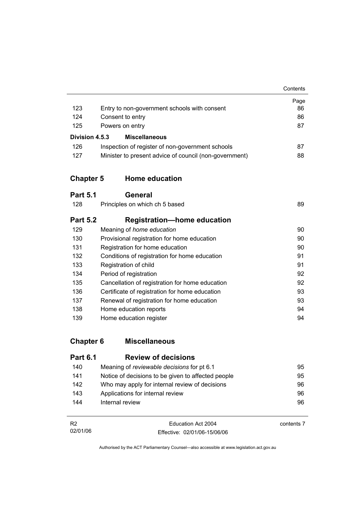|                                          |                                                        | Contents |  |
|------------------------------------------|--------------------------------------------------------|----------|--|
|                                          |                                                        | Page     |  |
| 123                                      | Entry to non-government schools with consent           | 86       |  |
| 124                                      | Consent to entry                                       | 86       |  |
| 125                                      | Powers on entry                                        | 87       |  |
| Division 4.5.3                           | <b>Miscellaneous</b>                                   |          |  |
| 126                                      | Inspection of register of non-government schools       | 87       |  |
| 127                                      | Minister to present advice of council (non-government) | 88       |  |
|                                          | <b>Home education</b><br><b>Chapter 5</b>              |          |  |
| <b>Part 5.1</b>                          | <b>General</b>                                         |          |  |
| 128                                      | Principles on which ch 5 based                         | 89       |  |
| <b>Part 5.2</b>                          | <b>Registration-home education</b>                     |          |  |
| 129                                      | Meaning of home education                              | 90       |  |
| 130                                      | Provisional registration for home education            | 90       |  |
| 131                                      | Registration for home education                        | 90       |  |
| 132                                      | Conditions of registration for home education          | 91       |  |
| 133                                      | Registration of child                                  | 91       |  |
| 134                                      | Period of registration                                 | 92       |  |
| 135                                      | Cancellation of registration for home education        | 92       |  |
| 136                                      | Certificate of registration for home education         | 93       |  |
| 137                                      | Renewal of registration for home education             | 93       |  |
| 138                                      | Home education reports                                 | 94       |  |
| 139                                      | Home education register                                | 94       |  |
| <b>Miscellaneous</b><br><b>Chapter 6</b> |                                                        |          |  |

| <b>Part 6.1</b> | <b>Review of decisions</b>                         |    |
|-----------------|----------------------------------------------------|----|
| 140             | Meaning of reviewable decisions for pt 6.1         | 95 |
| 141             | Notice of decisions to be given to affected people | 95 |
| 142             | Who may apply for internal review of decisions     | 96 |
| 143             | Applications for internal review                   | 96 |
| 144             | Internal review                                    | 96 |

| - R2     | Education Act 2004           | contents 7 |
|----------|------------------------------|------------|
| 02/01/06 | Effective: 02/01/06-15/06/06 |            |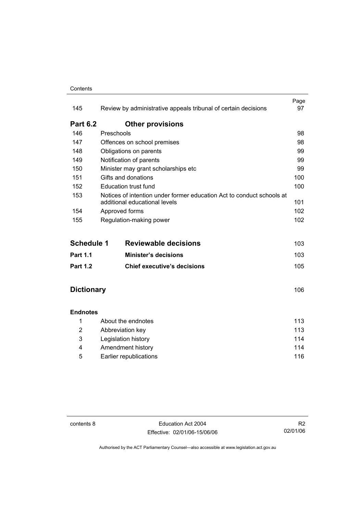#### **Contents**

| 145               | Review by administrative appeals tribunal of certain decisions                                         | Page<br>97 |
|-------------------|--------------------------------------------------------------------------------------------------------|------------|
| <b>Part 6.2</b>   | <b>Other provisions</b>                                                                                |            |
| 146               | Preschools                                                                                             | 98         |
| 147               | Offences on school premises                                                                            | 98         |
| 148               | Obligations on parents                                                                                 | 99         |
| 149               | Notification of parents                                                                                | 99         |
| 150               | Minister may grant scholarships etc.                                                                   | 99         |
| 151               | Gifts and donations                                                                                    | 100        |
| 152               | Education trust fund                                                                                   | 100        |
| 153               | Notices of intention under former education Act to conduct schools at<br>additional educational levels | 101        |
| 154               | Approved forms                                                                                         | 102        |
| 155               | Regulation-making power                                                                                | 102        |
|                   |                                                                                                        |            |
| <b>Schedule 1</b> | <b>Reviewable decisions</b>                                                                            | 103.       |

| <b>Part 1.1</b> | <b>Minister's decisions</b>        | 103 |
|-----------------|------------------------------------|-----|
| <b>Part 1.2</b> | <b>Chief executive's decisions</b> | 105 |

### **Dictionary** 106

# **Endnotes**

|   | About the endnotes     | 113  |
|---|------------------------|------|
| 2 | Abbreviation key       | 113  |
| 3 | Legislation history    | 114  |
| 4 | Amendment history      | 114  |
| 5 | Earlier republications | 116. |

contents 8 Education Act 2004 Effective: 02/01/06-15/06/06

R2 02/01/06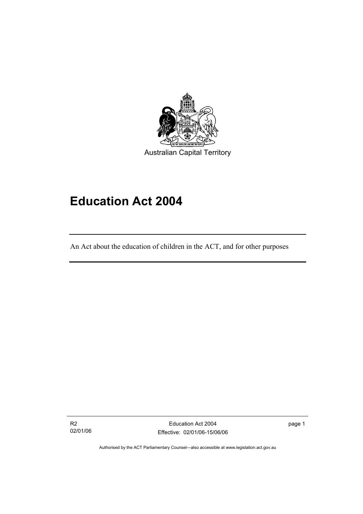

Australian Capital Territory

# **Education Act 2004**

An Act about the education of children in the ACT, and for other purposes

R2 02/01/06

I

Education Act 2004 Effective: 02/01/06-15/06/06 page 1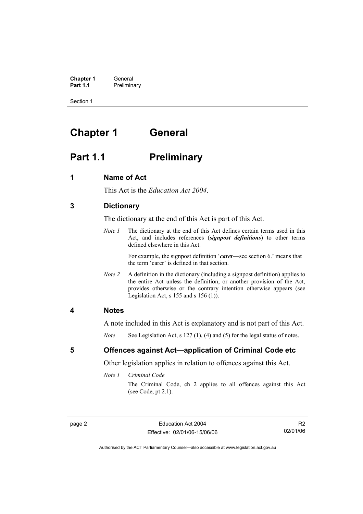**Chapter 1** General<br>**Part 1.1** Preliming **Preliminary** 

Section 1

### **Chapter 1 General**

### **Part 1.1** Preliminary

### **1 Name of Act**

This Act is the *Education Act 2004*.

### **3 Dictionary**

The dictionary at the end of this Act is part of this Act.

*Note 1* The dictionary at the end of this Act defines certain terms used in this Act, and includes references (*signpost definitions*) to other terms defined elsewhere in this Act.

> For example, the signpost definition '*carer*—see section 6.' means that the term 'carer' is defined in that section.

*Note 2* A definition in the dictionary (including a signpost definition) applies to the entire Act unless the definition, or another provision of the Act, provides otherwise or the contrary intention otherwise appears (see Legislation Act, s 155 and s 156 (1)).

### **4 Notes**

A note included in this Act is explanatory and is not part of this Act.

*Note* See Legislation Act, s 127 (1), (4) and (5) for the legal status of notes.

**5 Offences against Act—application of Criminal Code etc** 

Other legislation applies in relation to offences against this Act.

*Note 1 Criminal Code*

The Criminal Code, ch 2 applies to all offences against this Act (see Code, pt 2.1).

R2 02/01/06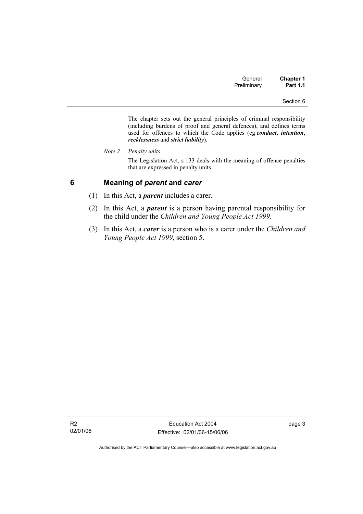The chapter sets out the general principles of criminal responsibility (including burdens of proof and general defences), and defines terms used for offences to which the Code applies (eg *conduct*, *intention*, *recklessness* and *strict liability*).

*Note 2 Penalty units* 

The Legislation Act, s 133 deals with the meaning of offence penalties that are expressed in penalty units.

### **6 Meaning of** *parent* **and** *carer*

- (1) In this Act, a *parent* includes a carer.
- (2) In this Act, a *parent* is a person having parental responsibility for the child under the *Children and Young People Act 1999*.
- (3) In this Act, a *carer* is a person who is a carer under the *Children and Young People Act 1999*, section 5.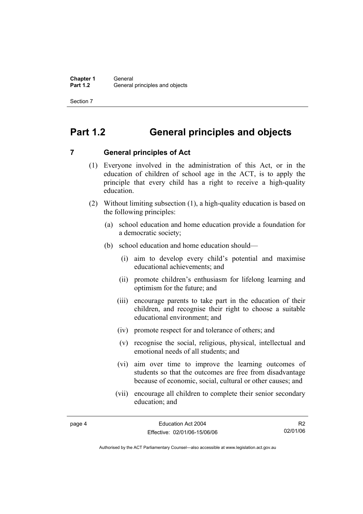**Chapter 1** General<br>**Part 1.2** General **General principles and objects** 

Section 7

### **Part 1.2 General principles and objects**

### **7 General principles of Act**

- (1) Everyone involved in the administration of this Act, or in the education of children of school age in the ACT, is to apply the principle that every child has a right to receive a high-quality education.
- (2) Without limiting subsection (1), a high-quality education is based on the following principles:
	- (a) school education and home education provide a foundation for a democratic society;
	- (b) school education and home education should—
		- (i) aim to develop every child's potential and maximise educational achievements; and
		- (ii) promote children's enthusiasm for lifelong learning and optimism for the future; and
		- (iii) encourage parents to take part in the education of their children, and recognise their right to choose a suitable educational environment; and
		- (iv) promote respect for and tolerance of others; and
		- (v) recognise the social, religious, physical, intellectual and emotional needs of all students; and
		- (vi) aim over time to improve the learning outcomes of students so that the outcomes are free from disadvantage because of economic, social, cultural or other causes; and
		- (vii) encourage all children to complete their senior secondary education; and

R2 02/01/06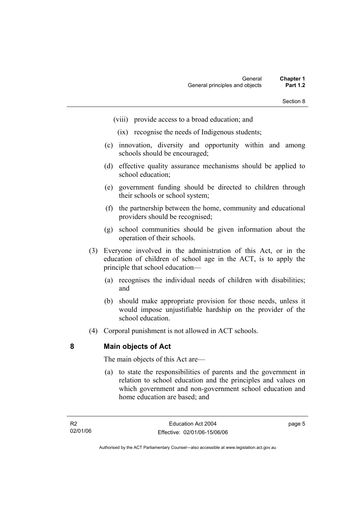- (viii) provide access to a broad education; and
	- (ix) recognise the needs of Indigenous students;
- (c) innovation, diversity and opportunity within and among schools should be encouraged;
- (d) effective quality assurance mechanisms should be applied to school education;
- (e) government funding should be directed to children through their schools or school system;
- (f) the partnership between the home, community and educational providers should be recognised;
- (g) school communities should be given information about the operation of their schools.
- (3) Everyone involved in the administration of this Act, or in the education of children of school age in the ACT, is to apply the principle that school education—
	- (a) recognises the individual needs of children with disabilities; and
	- (b) should make appropriate provision for those needs, unless it would impose unjustifiable hardship on the provider of the school education.
- (4) Corporal punishment is not allowed in ACT schools.

### **8 Main objects of Act**

The main objects of this Act are—

 (a) to state the responsibilities of parents and the government in relation to school education and the principles and values on which government and non-government school education and home education are based; and

page 5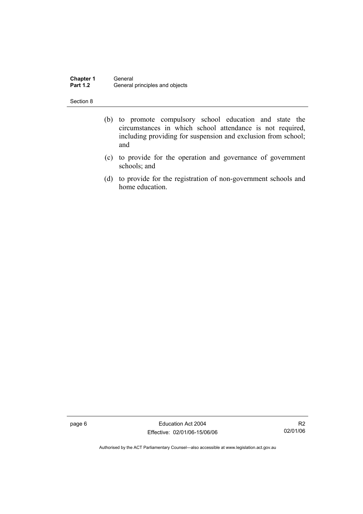**Chapter 1** General<br>**Part 1.2** General General principles and objects

Section 8

- (b) to promote compulsory school education and state the circumstances in which school attendance is not required, including providing for suspension and exclusion from school; and
- (c) to provide for the operation and governance of government schools; and
- (d) to provide for the registration of non-government schools and home education.

page 6 Education Act 2004 Effective: 02/01/06-15/06/06

R2 02/01/06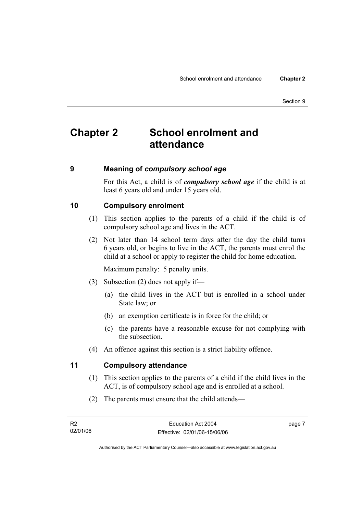## **Chapter 2 School enrolment and attendance**

### **9 Meaning of** *compulsory school age*

For this Act, a child is of *compulsory school age* if the child is at least 6 years old and under 15 years old.

### **10 Compulsory enrolment**

- (1) This section applies to the parents of a child if the child is of compulsory school age and lives in the ACT.
- (2) Not later than 14 school term days after the day the child turns 6 years old, or begins to live in the ACT, the parents must enrol the child at a school or apply to register the child for home education.

Maximum penalty: 5 penalty units.

- (3) Subsection (2) does not apply if—
	- (a) the child lives in the ACT but is enrolled in a school under State law; or
	- (b) an exemption certificate is in force for the child; or
	- (c) the parents have a reasonable excuse for not complying with the subsection.
- (4) An offence against this section is a strict liability offence.

### **11 Compulsory attendance**

- (1) This section applies to the parents of a child if the child lives in the ACT, is of compulsory school age and is enrolled at a school.
- (2) The parents must ensure that the child attends—

page 7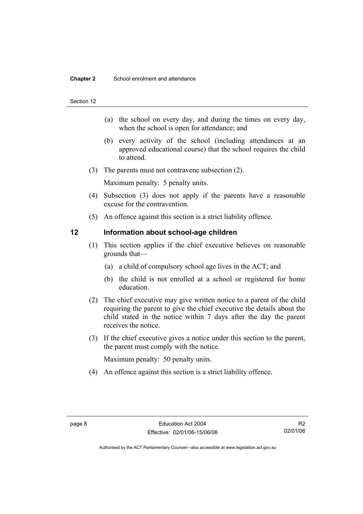- (a) the school on every day, and during the times on every day, when the school is open for attendance; and
- (b) every activity of the school (including attendances at an approved educational course) that the school requires the child to attend.
- (3) The parents must not contravene subsection (2).

Maximum penalty: 5 penalty units.

- (4) Subsection (3) does not apply if the parents have a reasonable excuse for the contravention.
- (5) An offence against this section is a strict liability offence.

### **12 Information about school-age children**

- (1) This section applies if the chief executive believes on reasonable grounds that—
	- (a) a child of compulsory school age lives in the ACT; and
	- (b) the child is not enrolled at a school or registered for home education.
- (2) The chief executive may give written notice to a parent of the child requiring the parent to give the chief executive the details about the child stated in the notice within 7 days after the day the parent receives the notice.
- (3) If the chief executive gives a notice under this section to the parent, the parent must comply with the notice.

Maximum penalty: 50 penalty units.

(4) An offence against this section is a strict liability offence.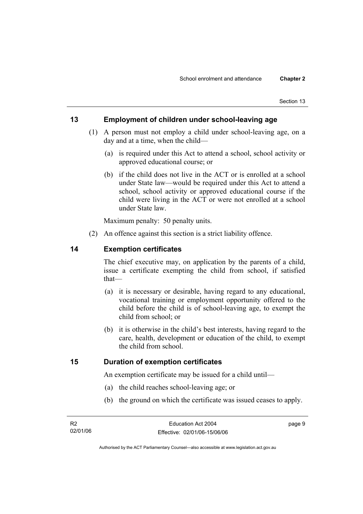### **13 Employment of children under school-leaving age**

- (1) A person must not employ a child under school-leaving age, on a day and at a time, when the child—
	- (a) is required under this Act to attend a school, school activity or approved educational course; or
	- (b) if the child does not live in the ACT or is enrolled at a school under State law—would be required under this Act to attend a school, school activity or approved educational course if the child were living in the ACT or were not enrolled at a school under State law.

Maximum penalty: 50 penalty units.

(2) An offence against this section is a strict liability offence.

### **14 Exemption certificates**

The chief executive may, on application by the parents of a child, issue a certificate exempting the child from school, if satisfied that—

- (a) it is necessary or desirable, having regard to any educational, vocational training or employment opportunity offered to the child before the child is of school-leaving age, to exempt the child from school; or
- (b) it is otherwise in the child's best interests, having regard to the care, health, development or education of the child, to exempt the child from school.

### **15 Duration of exemption certificates**

An exemption certificate may be issued for a child until—

- (a) the child reaches school-leaving age; or
- (b) the ground on which the certificate was issued ceases to apply.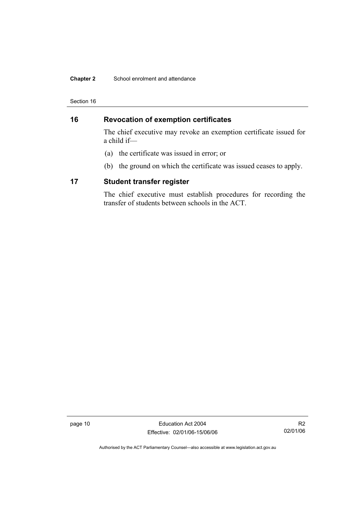### **Chapter 2** School enrolment and attendance

Section 16

### **16 Revocation of exemption certificates**

The chief executive may revoke an exemption certificate issued for a child if—

- (a) the certificate was issued in error; or
- (b) the ground on which the certificate was issued ceases to apply.

### **17 Student transfer register**

The chief executive must establish procedures for recording the transfer of students between schools in the ACT.

page 10 Education Act 2004 Effective: 02/01/06-15/06/06

R2 02/01/06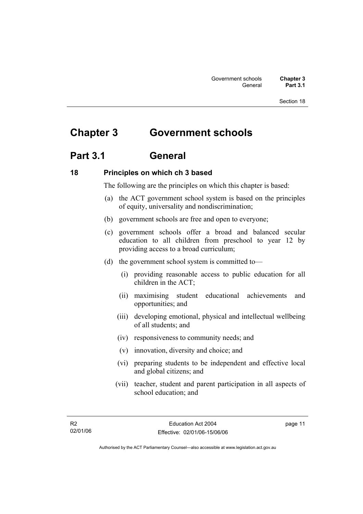### **Chapter 3 Government schools**

### **Part 3.1 General**

### **18 Principles on which ch 3 based**

The following are the principles on which this chapter is based:

- (a) the ACT government school system is based on the principles of equity, universality and nondiscrimination;
- (b) government schools are free and open to everyone;
- (c) government schools offer a broad and balanced secular education to all children from preschool to year 12 by providing access to a broad curriculum;
- (d) the government school system is committed to—
	- (i) providing reasonable access to public education for all children in the ACT;
	- (ii) maximising student educational achievements and opportunities; and
	- (iii) developing emotional, physical and intellectual wellbeing of all students; and
	- (iv) responsiveness to community needs; and
	- (v) innovation, diversity and choice; and
	- (vi) preparing students to be independent and effective local and global citizens; and
	- (vii) teacher, student and parent participation in all aspects of school education; and

page 11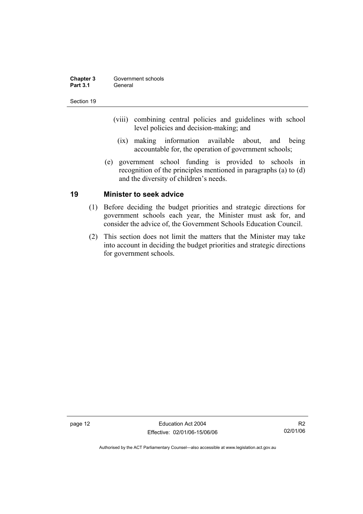| Chapter 3       | Government schools |
|-----------------|--------------------|
| <b>Part 3.1</b> | General            |

- (viii) combining central policies and guidelines with school level policies and decision-making; and
	- (ix) making information available about, and being accountable for, the operation of government schools;
- (e) government school funding is provided to schools in recognition of the principles mentioned in paragraphs (a) to (d) and the diversity of children's needs.

### **19 Minister to seek advice**

- (1) Before deciding the budget priorities and strategic directions for government schools each year, the Minister must ask for, and consider the advice of, the Government Schools Education Council.
- (2) This section does not limit the matters that the Minister may take into account in deciding the budget priorities and strategic directions for government schools.

page 12 Education Act 2004 Effective: 02/01/06-15/06/06

R2 02/01/06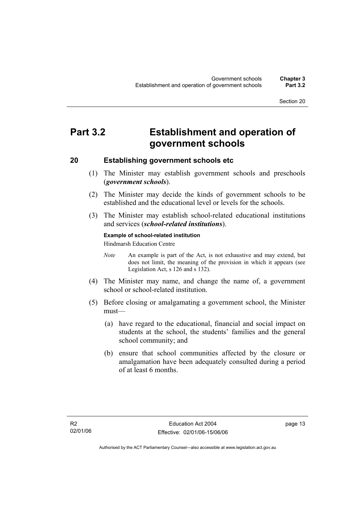### **Part 3.2 Establishment and operation of government schools**

### **20 Establishing government schools etc**

- (1) The Minister may establish government schools and preschools (*government schools*).
- (2) The Minister may decide the kinds of government schools to be established and the educational level or levels for the schools.
- (3) The Minister may establish school-related educational institutions and services (*school-related institutions*).

### **Example of school-related institution**

Hindmarsh Education Centre

- *Note* An example is part of the Act, is not exhaustive and may extend, but does not limit, the meaning of the provision in which it appears (see Legislation Act, s 126 and s 132).
- (4) The Minister may name, and change the name of, a government school or school-related institution.
- (5) Before closing or amalgamating a government school, the Minister must—
	- (a) have regard to the educational, financial and social impact on students at the school, the students' families and the general school community; and
	- (b) ensure that school communities affected by the closure or amalgamation have been adequately consulted during a period of at least 6 months.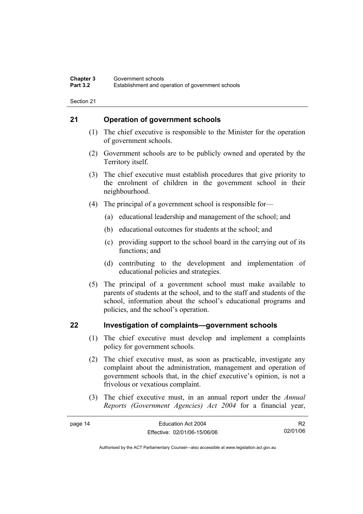### **21 Operation of government schools**

- (1) The chief executive is responsible to the Minister for the operation of government schools.
- (2) Government schools are to be publicly owned and operated by the Territory itself.
- (3) The chief executive must establish procedures that give priority to the enrolment of children in the government school in their neighbourhood.
- (4) The principal of a government school is responsible for—
	- (a) educational leadership and management of the school; and
	- (b) educational outcomes for students at the school; and
	- (c) providing support to the school board in the carrying out of its functions; and
	- (d) contributing to the development and implementation of educational policies and strategies.
- (5) The principal of a government school must make available to parents of students at the school, and to the staff and students of the school, information about the school's educational programs and policies, and the school's operation.

### **22 Investigation of complaints—government schools**

- (1) The chief executive must develop and implement a complaints policy for government schools.
- (2) The chief executive must, as soon as practicable, investigate any complaint about the administration, management and operation of government schools that, in the chief executive's opinion, is not a frivolous or vexatious complaint.
- (3) The chief executive must, in an annual report under the *Annual Reports (Government Agencies) Act 2004* for a financial year,

| page 14 | Education Act 2004           | R <sub>2</sub> |
|---------|------------------------------|----------------|
|         | Effective: 02/01/06-15/06/06 | 02/01/06       |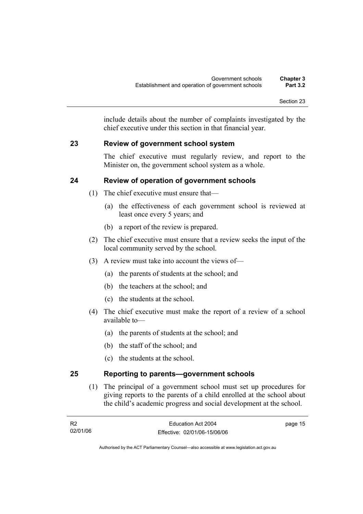include details about the number of complaints investigated by the chief executive under this section in that financial year.

### **23 Review of government school system**

The chief executive must regularly review, and report to the Minister on, the government school system as a whole.

### **24 Review of operation of government schools**

- (1) The chief executive must ensure that—
	- (a) the effectiveness of each government school is reviewed at least once every 5 years; and
	- (b) a report of the review is prepared.
- (2) The chief executive must ensure that a review seeks the input of the local community served by the school.
- (3) A review must take into account the views of—
	- (a) the parents of students at the school; and
	- (b) the teachers at the school; and
	- (c) the students at the school.
- (4) The chief executive must make the report of a review of a school available to—
	- (a) the parents of students at the school; and
	- (b) the staff of the school; and
	- (c) the students at the school.

### **25 Reporting to parents—government schools**

 (1) The principal of a government school must set up procedures for giving reports to the parents of a child enrolled at the school about the child's academic progress and social development at the school.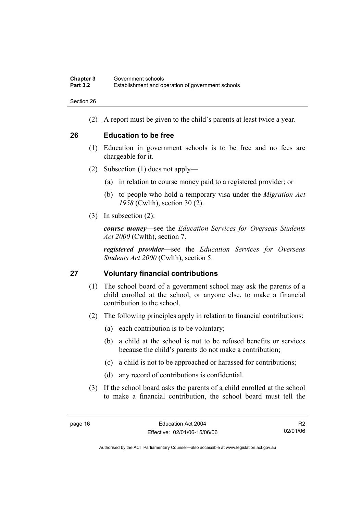#### **Chapter 3** Government schools<br> **Part 3.2** Establishment and or **Part 3.2** Establishment and operation of government schools

Section 26

(2) A report must be given to the child's parents at least twice a year.

### **26 Education to be free**

- (1) Education in government schools is to be free and no fees are chargeable for it.
- (2) Subsection (1) does not apply—
	- (a) in relation to course money paid to a registered provider; or
	- (b) to people who hold a temporary visa under the *Migration Act 1958* (Cwlth), section 30 (2).
- (3) In subsection (2):

*course money*—see the *Education Services for Overseas Students Act 2000* (Cwlth), section 7.

*registered provider*—see the *Education Services for Overseas Students Act 2000* (Cwlth), section 5.

### **27 Voluntary financial contributions**

- (1) The school board of a government school may ask the parents of a child enrolled at the school, or anyone else, to make a financial contribution to the school.
- (2) The following principles apply in relation to financial contributions:
	- (a) each contribution is to be voluntary;
	- (b) a child at the school is not to be refused benefits or services because the child's parents do not make a contribution;
	- (c) a child is not to be approached or harassed for contributions;
	- (d) any record of contributions is confidential.
- (3) If the school board asks the parents of a child enrolled at the school to make a financial contribution, the school board must tell the

R2 02/01/06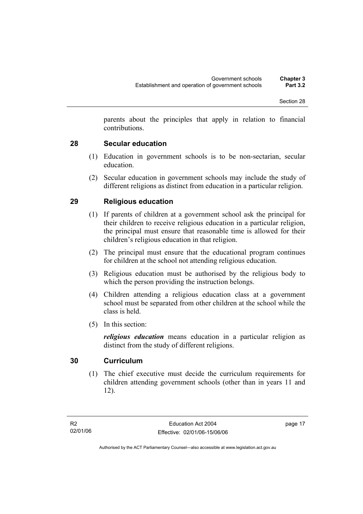parents about the principles that apply in relation to financial contributions.

### **28 Secular education**

- (1) Education in government schools is to be non-sectarian, secular education.
- (2) Secular education in government schools may include the study of different religions as distinct from education in a particular religion.

### **29 Religious education**

- (1) If parents of children at a government school ask the principal for their children to receive religious education in a particular religion, the principal must ensure that reasonable time is allowed for their children's religious education in that religion.
- (2) The principal must ensure that the educational program continues for children at the school not attending religious education.
- (3) Religious education must be authorised by the religious body to which the person providing the instruction belongs.
- (4) Children attending a religious education class at a government school must be separated from other children at the school while the class is held.
- (5) In this section:

*religious education* means education in a particular religion as distinct from the study of different religions.

### **30 Curriculum**

 (1) The chief executive must decide the curriculum requirements for children attending government schools (other than in years 11 and 12).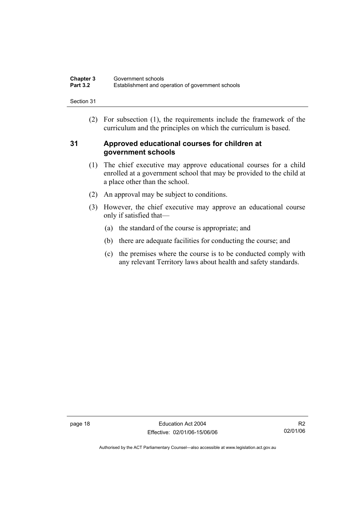| Chapter 3       | Government schools                                |
|-----------------|---------------------------------------------------|
| <b>Part 3.2</b> | Establishment and operation of government schools |

 (2) For subsection (1), the requirements include the framework of the curriculum and the principles on which the curriculum is based.

### **31 Approved educational courses for children at government schools**

- (1) The chief executive may approve educational courses for a child enrolled at a government school that may be provided to the child at a place other than the school.
- (2) An approval may be subject to conditions.
- (3) However, the chief executive may approve an educational course only if satisfied that—
	- (a) the standard of the course is appropriate; and
	- (b) there are adequate facilities for conducting the course; and
	- (c) the premises where the course is to be conducted comply with any relevant Territory laws about health and safety standards.

page 18 **Education Act 2004** Effective: 02/01/06-15/06/06

R2 02/01/06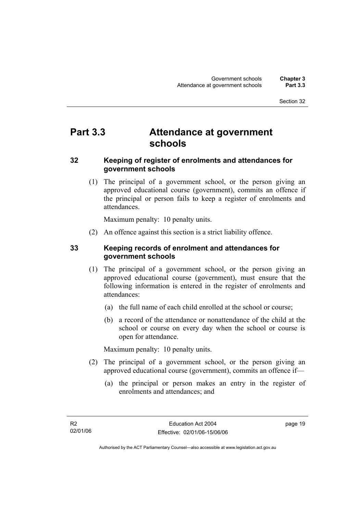### **Part 3.3 Attendance at government schools**

### **32 Keeping of register of enrolments and attendances for government schools**

 (1) The principal of a government school, or the person giving an approved educational course (government), commits an offence if the principal or person fails to keep a register of enrolments and attendances.

Maximum penalty: 10 penalty units.

(2) An offence against this section is a strict liability offence.

### **33 Keeping records of enrolment and attendances for government schools**

- (1) The principal of a government school, or the person giving an approved educational course (government), must ensure that the following information is entered in the register of enrolments and attendances:
	- (a) the full name of each child enrolled at the school or course;
	- (b) a record of the attendance or nonattendance of the child at the school or course on every day when the school or course is open for attendance.

Maximum penalty: 10 penalty units.

- (2) The principal of a government school, or the person giving an approved educational course (government), commits an offence if—
	- (a) the principal or person makes an entry in the register of enrolments and attendances; and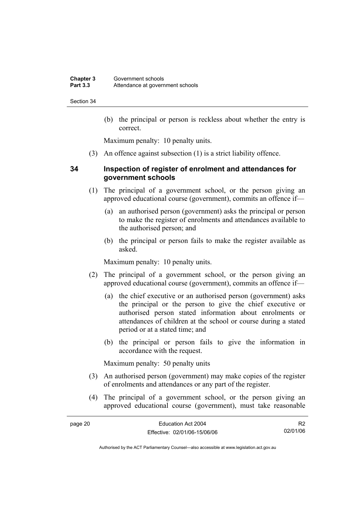(b) the principal or person is reckless about whether the entry is correct.

Maximum penalty: 10 penalty units.

(3) An offence against subsection (1) is a strict liability offence.

**34 Inspection of register of enrolment and attendances for government schools** 

- (1) The principal of a government school, or the person giving an approved educational course (government), commits an offence if—
	- (a) an authorised person (government) asks the principal or person to make the register of enrolments and attendances available to the authorised person; and
	- (b) the principal or person fails to make the register available as asked.

Maximum penalty: 10 penalty units.

- (2) The principal of a government school, or the person giving an approved educational course (government), commits an offence if—
	- (a) the chief executive or an authorised person (government) asks the principal or the person to give the chief executive or authorised person stated information about enrolments or attendances of children at the school or course during a stated period or at a stated time; and
	- (b) the principal or person fails to give the information in accordance with the request.

Maximum penalty: 50 penalty units

- (3) An authorised person (government) may make copies of the register of enrolments and attendances or any part of the register.
- (4) The principal of a government school, or the person giving an approved educational course (government), must take reasonable

| page 20 | Education Act 2004           | R <sub>2</sub> |
|---------|------------------------------|----------------|
|         | Effective: 02/01/06-15/06/06 | 02/01/06       |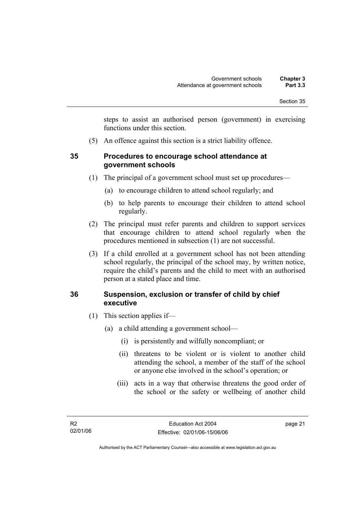steps to assist an authorised person (government) in exercising functions under this section.

(5) An offence against this section is a strict liability offence.

### **35 Procedures to encourage school attendance at government schools**

- (1) The principal of a government school must set up procedures—
	- (a) to encourage children to attend school regularly; and
	- (b) to help parents to encourage their children to attend school regularly.
- (2) The principal must refer parents and children to support services that encourage children to attend school regularly when the procedures mentioned in subsection (1) are not successful.
- (3) If a child enrolled at a government school has not been attending school regularly, the principal of the school may, by written notice, require the child's parents and the child to meet with an authorised person at a stated place and time.

### **36 Suspension, exclusion or transfer of child by chief executive**

- (1) This section applies if—
	- (a) a child attending a government school—
		- (i) is persistently and wilfully noncompliant; or
		- (ii) threatens to be violent or is violent to another child attending the school, a member of the staff of the school or anyone else involved in the school's operation; or
		- (iii) acts in a way that otherwise threatens the good order of the school or the safety or wellbeing of another child

page 21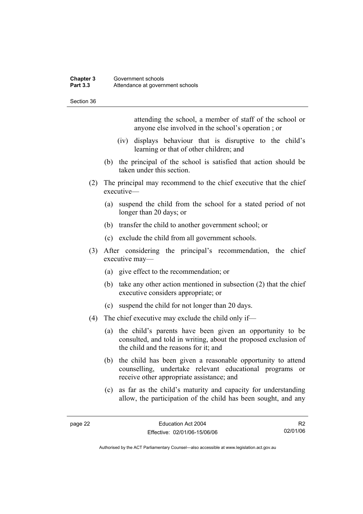#### **Chapter 3** Government schools<br> **Part 3.3** Attendance at govern Attendance at government schools

Section 36

attending the school, a member of staff of the school or anyone else involved in the school's operation ; or

- (iv) displays behaviour that is disruptive to the child's learning or that of other children; and
- (b) the principal of the school is satisfied that action should be taken under this section.
- (2) The principal may recommend to the chief executive that the chief executive—
	- (a) suspend the child from the school for a stated period of not longer than 20 days; or
	- (b) transfer the child to another government school; or
	- (c) exclude the child from all government schools.
- (3) After considering the principal's recommendation, the chief executive may—
	- (a) give effect to the recommendation; or
	- (b) take any other action mentioned in subsection (2) that the chief executive considers appropriate; or
	- (c) suspend the child for not longer than 20 days.
- (4) The chief executive may exclude the child only if—
	- (a) the child's parents have been given an opportunity to be consulted, and told in writing, about the proposed exclusion of the child and the reasons for it; and
	- (b) the child has been given a reasonable opportunity to attend counselling, undertake relevant educational programs or receive other appropriate assistance; and
	- (c) as far as the child's maturity and capacity for understanding allow, the participation of the child has been sought, and any

R2 02/01/06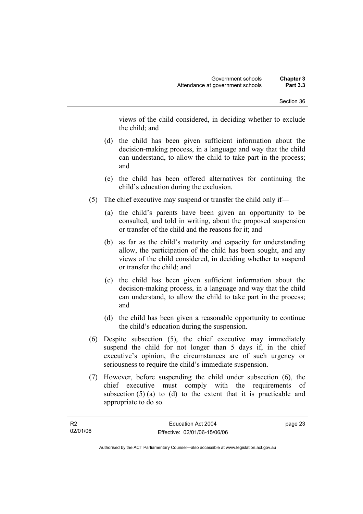views of the child considered, in deciding whether to exclude the child; and

- (d) the child has been given sufficient information about the decision-making process, in a language and way that the child can understand, to allow the child to take part in the process; and
- (e) the child has been offered alternatives for continuing the child's education during the exclusion.
- (5) The chief executive may suspend or transfer the child only if—
	- (a) the child's parents have been given an opportunity to be consulted, and told in writing, about the proposed suspension or transfer of the child and the reasons for it; and
	- (b) as far as the child's maturity and capacity for understanding allow, the participation of the child has been sought, and any views of the child considered, in deciding whether to suspend or transfer the child; and
	- (c) the child has been given sufficient information about the decision-making process, in a language and way that the child can understand, to allow the child to take part in the process; and
	- (d) the child has been given a reasonable opportunity to continue the child's education during the suspension.
- (6) Despite subsection (5), the chief executive may immediately suspend the child for not longer than 5 days if, in the chief executive's opinion, the circumstances are of such urgency or seriousness to require the child's immediate suspension.
- (7) However, before suspending the child under subsection (6), the chief executive must comply with the requirements of subsection  $(5)$  (a) to (d) to the extent that it is practicable and appropriate to do so.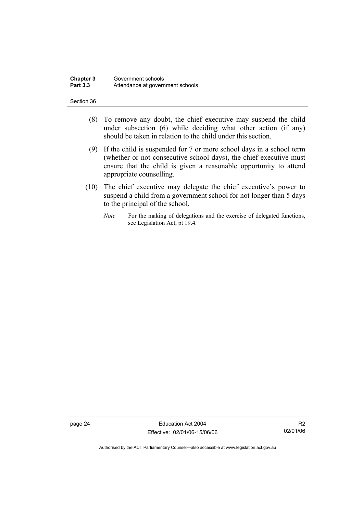| Chapter 3       | Government schools               |
|-----------------|----------------------------------|
| <b>Part 3.3</b> | Attendance at government schools |

- (8) To remove any doubt, the chief executive may suspend the child under subsection (6) while deciding what other action (if any) should be taken in relation to the child under this section.
- (9) If the child is suspended for 7 or more school days in a school term (whether or not consecutive school days), the chief executive must ensure that the child is given a reasonable opportunity to attend appropriate counselling.
- (10) The chief executive may delegate the chief executive's power to suspend a child from a government school for not longer than 5 days to the principal of the school.
	- *Note* For the making of delegations and the exercise of delegated functions, see Legislation Act, pt 19.4.

page 24 Education Act 2004 Effective: 02/01/06-15/06/06

R2 02/01/06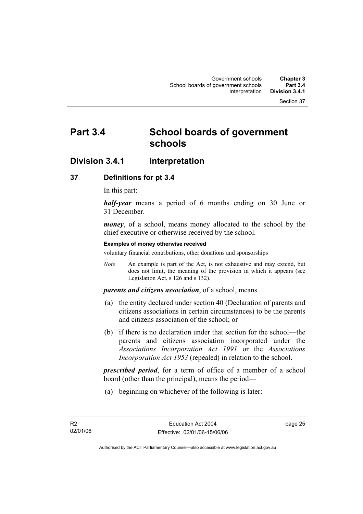### **Part 3.4 School boards of government schools**

### **Division 3.4.1 Interpretation**

### **37 Definitions for pt 3.4**

In this part:

*half-year* means a period of 6 months ending on 30 June or 31 December.

*money*, of a school, means money allocated to the school by the chief executive or otherwise received by the school.

#### **Examples of money otherwise received**

voluntary financial contributions, other donations and sponsorships

*Note* An example is part of the Act, is not exhaustive and may extend, but does not limit, the meaning of the provision in which it appears (see Legislation Act, s 126 and s 132).

### *parents and citizens association*, of a school, means

- (a) the entity declared under section 40 (Declaration of parents and citizens associations in certain circumstances) to be the parents and citizens association of the school; or
- (b) if there is no declaration under that section for the school—the parents and citizens association incorporated under the *Associations Incorporation Act 1991* or the *Associations Incorporation Act 1953* (repealed) in relation to the school.

*prescribed period*, for a term of office of a member of a school board (other than the principal), means the period—

(a) beginning on whichever of the following is later: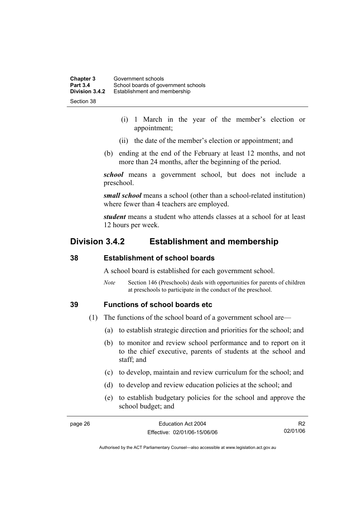- (i) 1 March in the year of the member's election or appointment;
- (ii) the date of the member's election or appointment; and
- (b) ending at the end of the February at least 12 months, and not more than 24 months, after the beginning of the period.

*school* means a government school, but does not include a preschool.

*small school* means a school (other than a school-related institution) where fewer than 4 teachers are employed.

*student* means a student who attends classes at a school for at least 12 hours per week.

### **Division 3.4.2 Establishment and membership**

### **38 Establishment of school boards**

A school board is established for each government school.

*Note* Section 146 (Preschools) deals with opportunities for parents of children at preschools to participate in the conduct of the preschool.

### **39 Functions of school boards etc**

- (1) The functions of the school board of a government school are—
	- (a) to establish strategic direction and priorities for the school; and
	- (b) to monitor and review school performance and to report on it to the chief executive, parents of students at the school and staff; and
	- (c) to develop, maintain and review curriculum for the school; and
	- (d) to develop and review education policies at the school; and
	- (e) to establish budgetary policies for the school and approve the school budget; and

| page 26 | Education Act 2004           |          |
|---------|------------------------------|----------|
|         | Effective: 02/01/06-15/06/06 | 02/01/06 |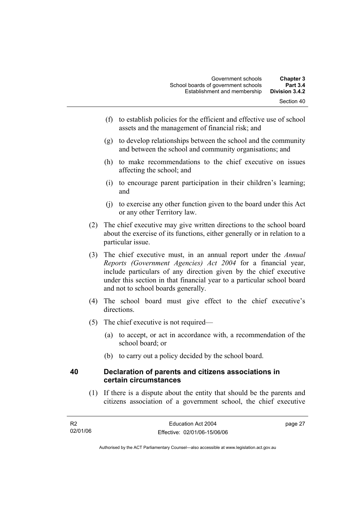- (f) to establish policies for the efficient and effective use of school assets and the management of financial risk; and
- (g) to develop relationships between the school and the community and between the school and community organisations; and
- (h) to make recommendations to the chief executive on issues affecting the school; and
- (i) to encourage parent participation in their children's learning; and
- (j) to exercise any other function given to the board under this Act or any other Territory law.
- (2) The chief executive may give written directions to the school board about the exercise of its functions, either generally or in relation to a particular issue.
- (3) The chief executive must, in an annual report under the *Annual Reports (Government Agencies) Act 2004* for a financial year, include particulars of any direction given by the chief executive under this section in that financial year to a particular school board and not to school boards generally.
- (4) The school board must give effect to the chief executive's directions.
- (5) The chief executive is not required—
	- (a) to accept, or act in accordance with, a recommendation of the school board; or
	- (b) to carry out a policy decided by the school board.

#### **40 Declaration of parents and citizens associations in certain circumstances**

 (1) If there is a dispute about the entity that should be the parents and citizens association of a government school, the chief executive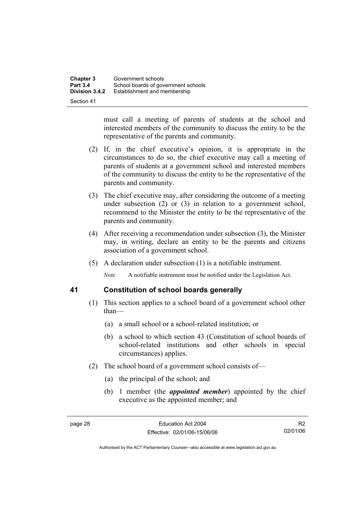| <b>Chapter 3</b> | Government schools                  |
|------------------|-------------------------------------|
| <b>Part 3.4</b>  | School boards of government schools |
| Division 3.4.2   | Establishment and membership        |
| Section 41       |                                     |

must call a meeting of parents of students at the school and interested members of the community to discuss the entity to be the representative of the parents and community.

- (2) If, in the chief executive's opinion, it is appropriate in the circumstances to do so, the chief executive may call a meeting of parents of students at a government school and interested members of the community to discuss the entity to be the representative of the parents and community.
- (3) The chief executive may, after considering the outcome of a meeting under subsection (2) or (3) in relation to a government school, recommend to the Minister the entity to be the representative of the parents and community.
- (4) After receiving a recommendation under subsection (3), the Minister may, in writing, declare an entity to be the parents and citizens association of a government school.
- (5) A declaration under subsection (1) is a notifiable instrument.

*Note* A notifiable instrument must be notified under the Legislation Act.

#### **41 Constitution of school boards generally**

- (1) This section applies to a school board of a government school other than—
	- (a) a small school or a school-related institution; or
	- (b) a school to which section 43 (Constitution of school boards of school-related institutions and other schools in special circumstances) applies.
- (2) The school board of a government school consists of—
	- (a) the principal of the school; and
	- (b) 1 member (the *appointed member*) appointed by the chief executive as the appointed member; and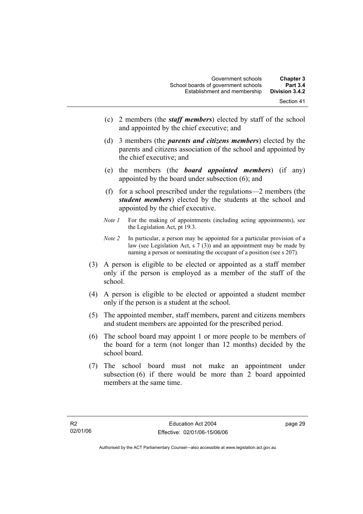- (c) 2 members (the *staff members*) elected by staff of the school and appointed by the chief executive; and
- (d) 3 members (the *parents and citizens members*) elected by the parents and citizens association of the school and appointed by the chief executive; and
- (e) the members (the *board appointed members*) (if any) appointed by the board under subsection (6); and
- (f) for a school prescribed under the regulations—2 members (the *student members*) elected by the students at the school and appointed by the chief executive.
- *Note 1* For the making of appointments (including acting appointments), see the Legislation Act, pt 19.3.
- *Note 2* In particular, a person may be appointed for a particular provision of a law (see Legislation Act, s 7 (3)) and an appointment may be made by naming a person or nominating the occupant of a position (see s 207).
- (3) A person is eligible to be elected or appointed as a staff member only if the person is employed as a member of the staff of the school.
- (4) A person is eligible to be elected or appointed a student member only if the person is a student at the school.
- (5) The appointed member, staff members, parent and citizens members and student members are appointed for the prescribed period.
- (6) The school board may appoint 1 or more people to be members of the board for a term (not longer than 12 months) decided by the school board.
- (7) The school board must not make an appointment under subsection (6) if there would be more than 2 board appointed members at the same time.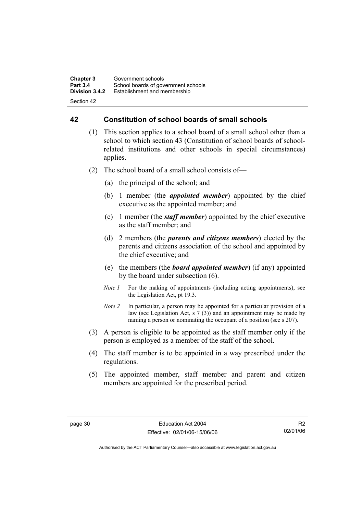#### **42 Constitution of school boards of small schools**

- (1) This section applies to a school board of a small school other than a school to which section 43 (Constitution of school boards of schoolrelated institutions and other schools in special circumstances) applies.
- (2) The school board of a small school consists of—
	- (a) the principal of the school; and
	- (b) 1 member (the *appointed member*) appointed by the chief executive as the appointed member; and
	- (c) 1 member (the *staff member*) appointed by the chief executive as the staff member; and
	- (d) 2 members (the *parents and citizens members*) elected by the parents and citizens association of the school and appointed by the chief executive; and
	- (e) the members (the *board appointed member*) (if any) appointed by the board under subsection (6).
	- *Note 1* For the making of appointments (including acting appointments), see the Legislation Act, pt 19.3.
	- *Note 2* In particular, a person may be appointed for a particular provision of a law (see Legislation Act, s 7 (3)) and an appointment may be made by naming a person or nominating the occupant of a position (see s 207).
- (3) A person is eligible to be appointed as the staff member only if the person is employed as a member of the staff of the school.
- (4) The staff member is to be appointed in a way prescribed under the regulations.
- (5) The appointed member, staff member and parent and citizen members are appointed for the prescribed period.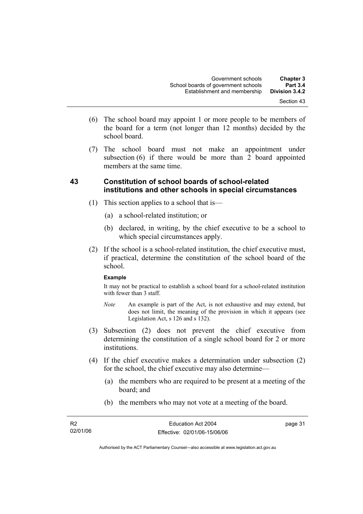- (6) The school board may appoint 1 or more people to be members of the board for a term (not longer than 12 months) decided by the school board.
- (7) The school board must not make an appointment under subsection (6) if there would be more than 2 board appointed members at the same time.

#### **43 Constitution of school boards of school-related institutions and other schools in special circumstances**

- (1) This section applies to a school that is—
	- (a) a school-related institution; or
	- (b) declared, in writing, by the chief executive to be a school to which special circumstances apply.
- (2) If the school is a school-related institution, the chief executive must, if practical, determine the constitution of the school board of the school.

#### **Example**

It may not be practical to establish a school board for a school-related institution with fewer than 3 staff.

- *Note* An example is part of the Act, is not exhaustive and may extend, but does not limit, the meaning of the provision in which it appears (see Legislation Act, s 126 and s 132).
- (3) Subsection (2) does not prevent the chief executive from determining the constitution of a single school board for 2 or more institutions.
- (4) If the chief executive makes a determination under subsection (2) for the school, the chief executive may also determine—
	- (a) the members who are required to be present at a meeting of the board; and
	- (b) the members who may not vote at a meeting of the board.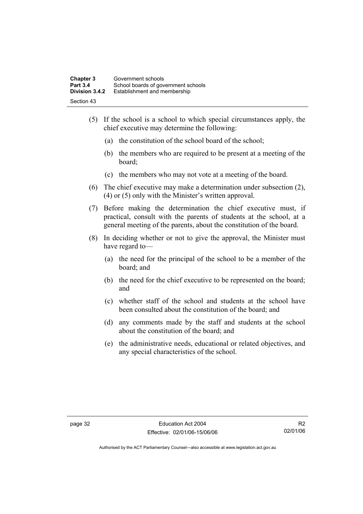| Chapter 3       | Government schools                  |
|-----------------|-------------------------------------|
| <b>Part 3.4</b> | School boards of government schools |
| Division 3.4.2  | Establishment and membership        |
| Section 43      |                                     |

- (5) If the school is a school to which special circumstances apply, the chief executive may determine the following:
	- (a) the constitution of the school board of the school;
	- (b) the members who are required to be present at a meeting of the board;
	- (c) the members who may not vote at a meeting of the board.
- (6) The chief executive may make a determination under subsection (2), (4) or (5) only with the Minister's written approval.
- (7) Before making the determination the chief executive must, if practical, consult with the parents of students at the school, at a general meeting of the parents, about the constitution of the board.
- (8) In deciding whether or not to give the approval, the Minister must have regard to—
	- (a) the need for the principal of the school to be a member of the board; and
	- (b) the need for the chief executive to be represented on the board; and
	- (c) whether staff of the school and students at the school have been consulted about the constitution of the board; and
	- (d) any comments made by the staff and students at the school about the constitution of the board; and
	- (e) the administrative needs, educational or related objectives, and any special characteristics of the school.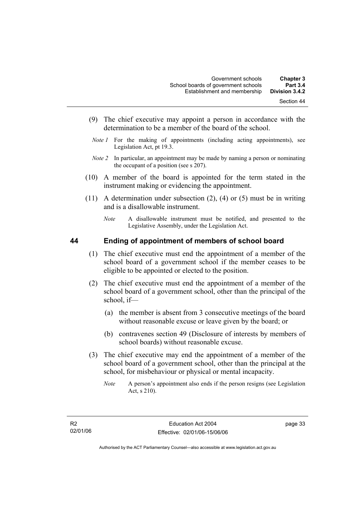- (9) The chief executive may appoint a person in accordance with the determination to be a member of the board of the school.
- *Note 1* For the making of appointments (including acting appointments), see Legislation Act, pt 19.3.
- *Note 2* In particular, an appointment may be made by naming a person or nominating the occupant of a position (see s 207).
- (10) A member of the board is appointed for the term stated in the instrument making or evidencing the appointment.
- (11) A determination under subsection (2), (4) or (5) must be in writing and is a disallowable instrument.
	- *Note* A disallowable instrument must be notified, and presented to the Legislative Assembly, under the Legislation Act.

### **44 Ending of appointment of members of school board**

- (1) The chief executive must end the appointment of a member of the school board of a government school if the member ceases to be eligible to be appointed or elected to the position.
- (2) The chief executive must end the appointment of a member of the school board of a government school, other than the principal of the school, if—
	- (a) the member is absent from 3 consecutive meetings of the board without reasonable excuse or leave given by the board; or
	- (b) contravenes section 49 (Disclosure of interests by members of school boards) without reasonable excuse.
- (3) The chief executive may end the appointment of a member of the school board of a government school, other than the principal at the school, for misbehaviour or physical or mental incapacity.
	- *Note* A person's appointment also ends if the person resigns (see Legislation Act, s 210).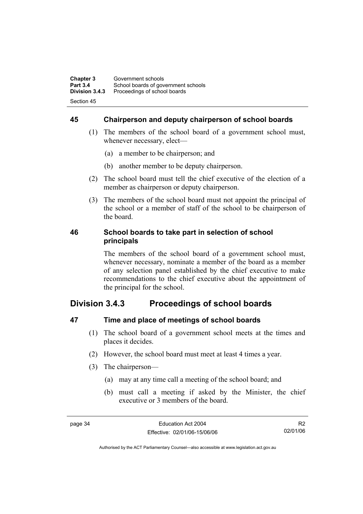#### **45 Chairperson and deputy chairperson of school boards**

- (1) The members of the school board of a government school must, whenever necessary, elect—
	- (a) a member to be chairperson; and
	- (b) another member to be deputy chairperson.
- (2) The school board must tell the chief executive of the election of a member as chairperson or deputy chairperson.
- (3) The members of the school board must not appoint the principal of the school or a member of staff of the school to be chairperson of the board.

#### **46 School boards to take part in selection of school principals**

The members of the school board of a government school must, whenever necessary, nominate a member of the board as a member of any selection panel established by the chief executive to make recommendations to the chief executive about the appointment of the principal for the school.

## **Division 3.4.3 Proceedings of school boards**

#### **47 Time and place of meetings of school boards**

- (1) The school board of a government school meets at the times and places it decides.
- (2) However, the school board must meet at least 4 times a year.
- (3) The chairperson—
	- (a) may at any time call a meeting of the school board; and
	- (b) must call a meeting if asked by the Minister, the chief executive or 3 members of the board.

R2 02/01/06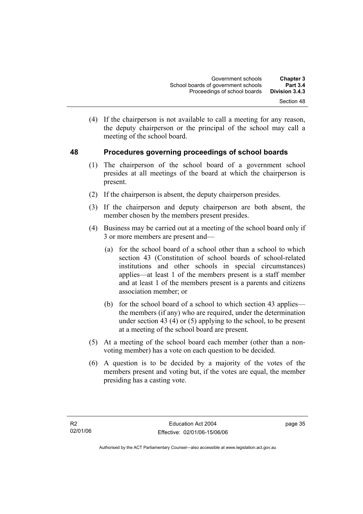(4) If the chairperson is not available to call a meeting for any reason, the deputy chairperson or the principal of the school may call a meeting of the school board.

#### **48 Procedures governing proceedings of school boards**

- (1) The chairperson of the school board of a government school presides at all meetings of the board at which the chairperson is present.
- (2) If the chairperson is absent, the deputy chairperson presides.
- (3) If the chairperson and deputy chairperson are both absent, the member chosen by the members present presides.
- (4) Business may be carried out at a meeting of the school board only if 3 or more members are present and—
	- (a) for the school board of a school other than a school to which section 43 (Constitution of school boards of school-related institutions and other schools in special circumstances) applies—at least 1 of the members present is a staff member and at least 1 of the members present is a parents and citizens association member; or
	- (b) for the school board of a school to which section 43 applies the members (if any) who are required, under the determination under section 43 (4) or (5) applying to the school, to be present at a meeting of the school board are present.
- (5) At a meeting of the school board each member (other than a nonvoting member) has a vote on each question to be decided.
- (6) A question is to be decided by a majority of the votes of the members present and voting but, if the votes are equal, the member presiding has a casting vote.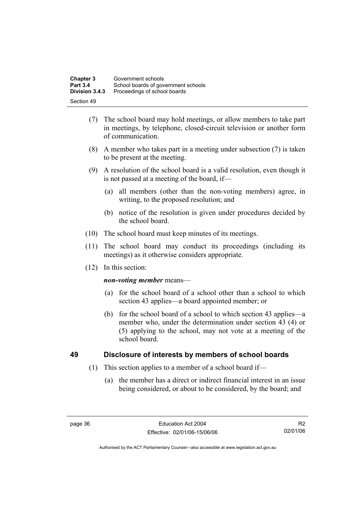| <b>Chapter 3</b> | Government schools                  |
|------------------|-------------------------------------|
| <b>Part 3.4</b>  | School boards of government schools |
| Division 3.4.3   | Proceedings of school boards        |
| Section 49       |                                     |

- (7) The school board may hold meetings, or allow members to take part in meetings, by telephone, closed-circuit television or another form of communication.
- (8) A member who takes part in a meeting under subsection (7) is taken to be present at the meeting.
- (9) A resolution of the school board is a valid resolution, even though it is not passed at a meeting of the board, if—
	- (a) all members (other than the non-voting members) agree, in writing, to the proposed resolution; and
	- (b) notice of the resolution is given under procedures decided by the school board.
- (10) The school board must keep minutes of its meetings.
- (11) The school board may conduct its proceedings (including its meetings) as it otherwise considers appropriate.
- (12) In this section:

#### *non-voting member* means—

- (a) for the school board of a school other than a school to which section 43 applies—a board appointed member; or
- (b) for the school board of a school to which section 43 applies—a member who, under the determination under section 43 (4) or (5) applying to the school, may not vote at a meeting of the school board.

#### **49 Disclosure of interests by members of school boards**

- (1) This section applies to a member of a school board if—
	- (a) the member has a direct or indirect financial interest in an issue being considered, or about to be considered, by the board; and

R2 02/01/06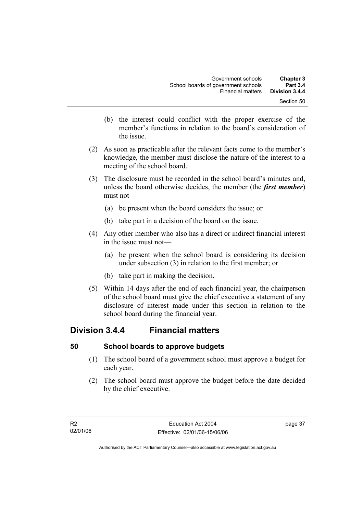- (b) the interest could conflict with the proper exercise of the member's functions in relation to the board's consideration of the issue.
- (2) As soon as practicable after the relevant facts come to the member's knowledge, the member must disclose the nature of the interest to a meeting of the school board.
- (3) The disclosure must be recorded in the school board's minutes and, unless the board otherwise decides, the member (the *first member*) must not—
	- (a) be present when the board considers the issue; or
	- (b) take part in a decision of the board on the issue.
- (4) Any other member who also has a direct or indirect financial interest in the issue must not—
	- (a) be present when the school board is considering its decision under subsection (3) in relation to the first member; or
	- (b) take part in making the decision.
- (5) Within 14 days after the end of each financial year, the chairperson of the school board must give the chief executive a statement of any disclosure of interest made under this section in relation to the school board during the financial year.

## **Division 3.4.4 Financial matters**

#### **50 School boards to approve budgets**

- (1) The school board of a government school must approve a budget for each year.
- (2) The school board must approve the budget before the date decided by the chief executive.

page 37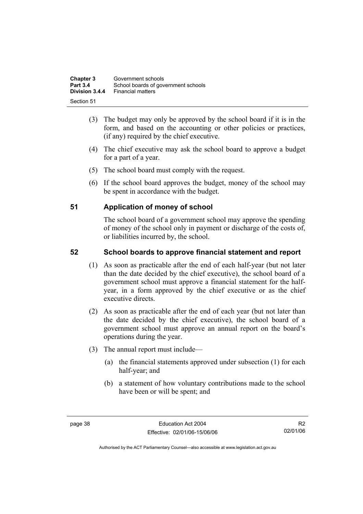| <b>Chapter 3</b> | Government schools                  |
|------------------|-------------------------------------|
| <b>Part 3.4</b>  | School boards of government schools |
| Division 3.4.4   | <b>Financial matters</b>            |
| Section 51       |                                     |

- (3) The budget may only be approved by the school board if it is in the form, and based on the accounting or other policies or practices, (if any) required by the chief executive.
- (4) The chief executive may ask the school board to approve a budget for a part of a year.
- (5) The school board must comply with the request.
- (6) If the school board approves the budget, money of the school may be spent in accordance with the budget.

#### **51 Application of money of school**

The school board of a government school may approve the spending of money of the school only in payment or discharge of the costs of, or liabilities incurred by, the school.

### **52 School boards to approve financial statement and report**

- (1) As soon as practicable after the end of each half-year (but not later than the date decided by the chief executive), the school board of a government school must approve a financial statement for the halfyear, in a form approved by the chief executive or as the chief executive directs.
- (2) As soon as practicable after the end of each year (but not later than the date decided by the chief executive), the school board of a government school must approve an annual report on the board's operations during the year.
- (3) The annual report must include—
	- (a) the financial statements approved under subsection (1) for each half-year; and
	- (b) a statement of how voluntary contributions made to the school have been or will be spent; and

R2 02/01/06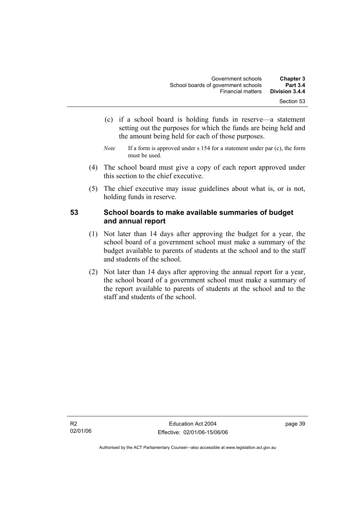- (c) if a school board is holding funds in reserve—a statement setting out the purposes for which the funds are being held and the amount being held for each of those purposes.
- *Note* If a form is approved under s 154 for a statement under par (c), the form must be used.
- (4) The school board must give a copy of each report approved under this section to the chief executive.
- (5) The chief executive may issue guidelines about what is, or is not, holding funds in reserve.

#### **53 School boards to make available summaries of budget and annual report**

- (1) Not later than 14 days after approving the budget for a year, the school board of a government school must make a summary of the budget available to parents of students at the school and to the staff and students of the school.
- (2) Not later than 14 days after approving the annual report for a year, the school board of a government school must make a summary of the report available to parents of students at the school and to the staff and students of the school.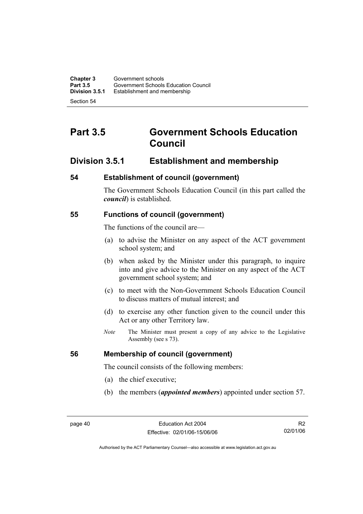**Chapter 3 Government schools**<br>**Part 3.5 Government Schools Part 3.5** Government Schools Education Council<br>**Division 3.5.1** Establishment and membership **Division 3.5.1** Establishment and membership

Section 54

# **Part 3.5 Government Schools Education Council**

## **Division 3.5.1 Establishment and membership**

#### **54 Establishment of council (government)**

The Government Schools Education Council (in this part called the *council*) is established.

#### **55 Functions of council (government)**

The functions of the council are—

- (a) to advise the Minister on any aspect of the ACT government school system; and
- (b) when asked by the Minister under this paragraph, to inquire into and give advice to the Minister on any aspect of the ACT government school system; and
- (c) to meet with the Non-Government Schools Education Council to discuss matters of mutual interest; and
- (d) to exercise any other function given to the council under this Act or any other Territory law.
- *Note* The Minister must present a copy of any advice to the Legislative Assembly (see s 73).

### **56 Membership of council (government)**

The council consists of the following members:

- (a) the chief executive;
- (b) the members (*appointed members*) appointed under section 57.

R2 02/01/06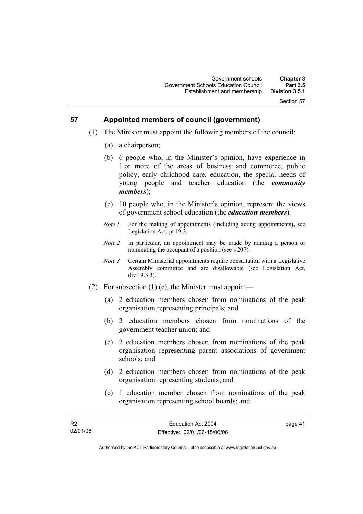#### **57 Appointed members of council (government)**

- (1) The Minister must appoint the following members of the council:
	- (a) a chairperson;
	- (b) 6 people who, in the Minister's opinion, have experience in 1 or more of the areas of business and commerce, public policy, early childhood care, education, the special needs of young people and teacher education (the *community members*);
	- (c) 10 people who, in the Minister's opinion, represent the views of government school education (the *education members*).
	- *Note 1* For the making of appointments (including acting appointments), see Legislation Act, pt 19.3.
	- *Note 2* In particular, an appointment may be made by naming a person or nominating the occupant of a position (see s 207).
	- *Note 3* Certain Ministerial appointments require consultation with a Legislative Assembly committee and are disallowable (see Legislation Act, div 19.3.3).
- (2) For subsection (1) (c), the Minister must appoint—
	- (a) 2 education members chosen from nominations of the peak organisation representing principals; and
	- (b) 2 education members chosen from nominations of the government teacher union; and
	- (c) 2 education members chosen from nominations of the peak organisation representing parent associations of government schools; and
	- (d) 2 education members chosen from nominations of the peak organisation representing students; and
	- (e) 1 education member chosen from nominations of the peak organisation representing school boards; and

page 41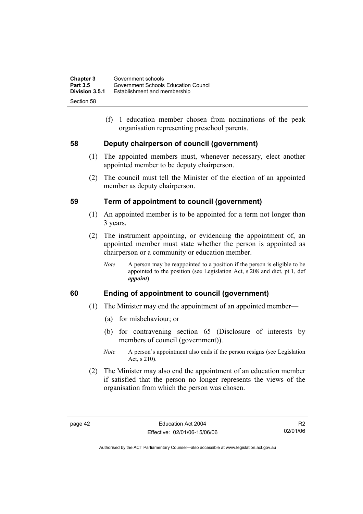| <b>Chapter 3</b> | Government schools                   |
|------------------|--------------------------------------|
| <b>Part 3.5</b>  | Government Schools Education Council |
| Division 3.5.1   | Establishment and membership         |
| Section 58       |                                      |

 (f) 1 education member chosen from nominations of the peak organisation representing preschool parents.

#### **58 Deputy chairperson of council (government)**

- (1) The appointed members must, whenever necessary, elect another appointed member to be deputy chairperson.
- (2) The council must tell the Minister of the election of an appointed member as deputy chairperson.

#### **59 Term of appointment to council (government)**

- (1) An appointed member is to be appointed for a term not longer than 3 years.
- (2) The instrument appointing, or evidencing the appointment of, an appointed member must state whether the person is appointed as chairperson or a community or education member.
	- *Note* A person may be reappointed to a position if the person is eligible to be appointed to the position (see Legislation Act, s 208 and dict, pt 1, def *appoint*).

#### **60 Ending of appointment to council (government)**

- (1) The Minister may end the appointment of an appointed member—
	- (a) for misbehaviour; or
	- (b) for contravening section 65 (Disclosure of interests by members of council (government)).
	- *Note* A person's appointment also ends if the person resigns (see Legislation Act, s 210).
- (2) The Minister may also end the appointment of an education member if satisfied that the person no longer represents the views of the organisation from which the person was chosen.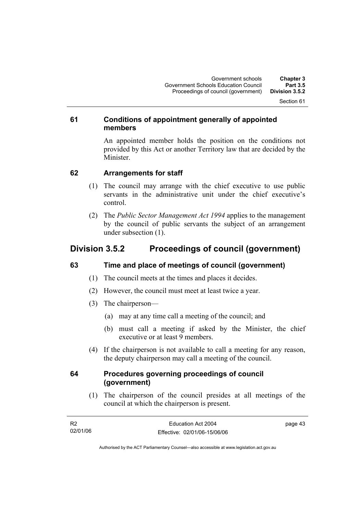Section 61

#### **61 Conditions of appointment generally of appointed members**

An appointed member holds the position on the conditions not provided by this Act or another Territory law that are decided by the Minister.

### **62 Arrangements for staff**

- (1) The council may arrange with the chief executive to use public servants in the administrative unit under the chief executive's control.
- (2) The *Public Sector Management Act 1994* applies to the management by the council of public servants the subject of an arrangement under subsection (1).

## **Division 3.5.2 Proceedings of council (government)**

## **63 Time and place of meetings of council (government)**

- (1) The council meets at the times and places it decides.
- (2) However, the council must meet at least twice a year.
- (3) The chairperson—
	- (a) may at any time call a meeting of the council; and
	- (b) must call a meeting if asked by the Minister, the chief executive or at least 9 members.
- (4) If the chairperson is not available to call a meeting for any reason, the deputy chairperson may call a meeting of the council.

#### **64 Procedures governing proceedings of council (government)**

 (1) The chairperson of the council presides at all meetings of the council at which the chairperson is present.

| - R2     | Education Act 2004           | page 43 |
|----------|------------------------------|---------|
| 02/01/06 | Effective: 02/01/06-15/06/06 |         |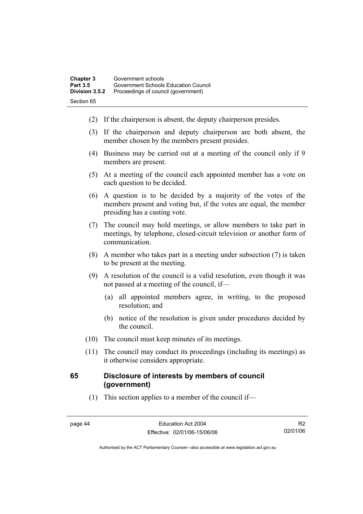- (2) If the chairperson is absent, the deputy chairperson presides.
- (3) If the chairperson and deputy chairperson are both absent, the member chosen by the members present presides.
- (4) Business may be carried out at a meeting of the council only if 9 members are present.
- (5) At a meeting of the council each appointed member has a vote on each question to be decided.
- (6) A question is to be decided by a majority of the votes of the members present and voting but, if the votes are equal, the member presiding has a casting vote.
- (7) The council may hold meetings, or allow members to take part in meetings, by telephone, closed-circuit television or another form of communication.
- (8) A member who takes part in a meeting under subsection (7) is taken to be present at the meeting.
- (9) A resolution of the council is a valid resolution, even though it was not passed at a meeting of the council, if—
	- (a) all appointed members agree, in writing, to the proposed resolution; and
	- (b) notice of the resolution is given under procedures decided by the council.
- (10) The council must keep minutes of its meetings.
- (11) The council may conduct its proceedings (including its meetings) as it otherwise considers appropriate.

#### **65 Disclosure of interests by members of council (government)**

(1) This section applies to a member of the council if—

R2 02/01/06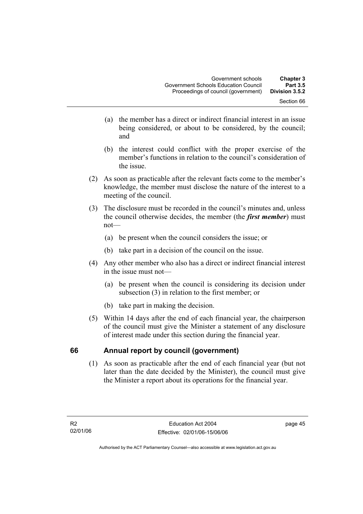- (a) the member has a direct or indirect financial interest in an issue being considered, or about to be considered, by the council; and
- (b) the interest could conflict with the proper exercise of the member's functions in relation to the council's consideration of the issue.
- (2) As soon as practicable after the relevant facts come to the member's knowledge, the member must disclose the nature of the interest to a meeting of the council.
- (3) The disclosure must be recorded in the council's minutes and, unless the council otherwise decides, the member (the *first member*) must not—
	- (a) be present when the council considers the issue; or
	- (b) take part in a decision of the council on the issue.
- (4) Any other member who also has a direct or indirect financial interest in the issue must not—
	- (a) be present when the council is considering its decision under subsection (3) in relation to the first member; or
	- (b) take part in making the decision.
- (5) Within 14 days after the end of each financial year, the chairperson of the council must give the Minister a statement of any disclosure of interest made under this section during the financial year.

## **66 Annual report by council (government)**

 (1) As soon as practicable after the end of each financial year (but not later than the date decided by the Minister), the council must give the Minister a report about its operations for the financial year.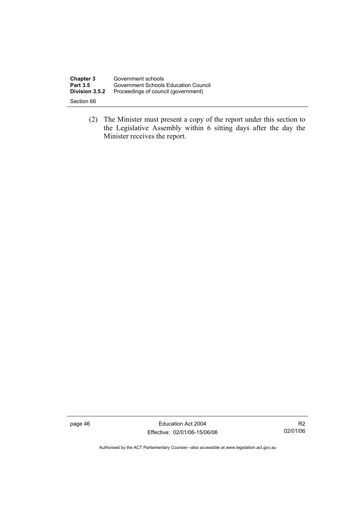| <b>Chapter 3</b> | Government schools                   |
|------------------|--------------------------------------|
| <b>Part 3.5</b>  | Government Schools Education Council |
| Division 3.5.2   | Proceedings of council (government)  |
| Section 66       |                                      |

 (2) The Minister must present a copy of the report under this section to the Legislative Assembly within 6 sitting days after the day the Minister receives the report.

page 46 Education Act 2004 Effective: 02/01/06-15/06/06

R2 02/01/06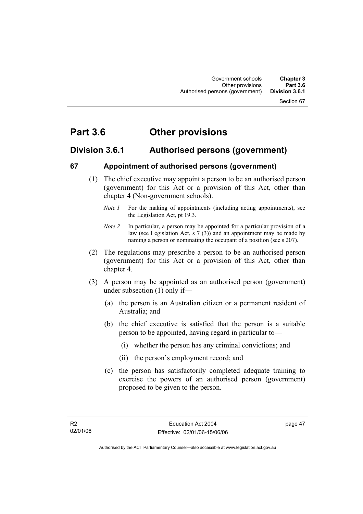# **Part 3.6 Other provisions**

## **Division 3.6.1 Authorised persons (government)**

### **67 Appointment of authorised persons (government)**

- (1) The chief executive may appoint a person to be an authorised person (government) for this Act or a provision of this Act, other than chapter 4 (Non-government schools).
	- *Note 1* For the making of appointments (including acting appointments), see the Legislation Act, pt 19.3.
	- *Note 2* In particular, a person may be appointed for a particular provision of a law (see Legislation Act, s 7 (3)) and an appointment may be made by naming a person or nominating the occupant of a position (see s 207).
- (2) The regulations may prescribe a person to be an authorised person (government) for this Act or a provision of this Act, other than chapter 4.
- (3) A person may be appointed as an authorised person (government) under subsection (1) only if—
	- (a) the person is an Australian citizen or a permanent resident of Australia; and
	- (b) the chief executive is satisfied that the person is a suitable person to be appointed, having regard in particular to—
		- (i) whether the person has any criminal convictions; and
		- (ii) the person's employment record; and
	- (c) the person has satisfactorily completed adequate training to exercise the powers of an authorised person (government) proposed to be given to the person.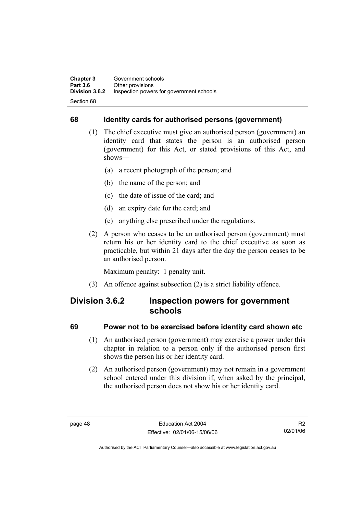#### **68 Identity cards for authorised persons (government)**

- (1) The chief executive must give an authorised person (government) an identity card that states the person is an authorised person (government) for this Act, or stated provisions of this Act, and shows—
	- (a) a recent photograph of the person; and
	- (b) the name of the person; and
	- (c) the date of issue of the card; and
	- (d) an expiry date for the card; and
	- (e) anything else prescribed under the regulations.
- (2) A person who ceases to be an authorised person (government) must return his or her identity card to the chief executive as soon as practicable, but within 21 days after the day the person ceases to be an authorised person.

Maximum penalty: 1 penalty unit.

(3) An offence against subsection (2) is a strict liability offence.

## **Division 3.6.2 Inspection powers for government schools**

#### **69 Power not to be exercised before identity card shown etc**

- (1) An authorised person (government) may exercise a power under this chapter in relation to a person only if the authorised person first shows the person his or her identity card.
- (2) An authorised person (government) may not remain in a government school entered under this division if, when asked by the principal, the authorised person does not show his or her identity card.

R2 02/01/06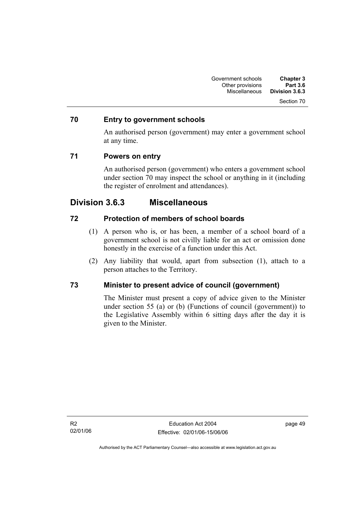#### **70 Entry to government schools**

An authorised person (government) may enter a government school at any time.

#### **71 Powers on entry**

An authorised person (government) who enters a government school under section 70 may inspect the school or anything in it (including the register of enrolment and attendances).

## **Division 3.6.3 Miscellaneous**

#### **72 Protection of members of school boards**

- (1) A person who is, or has been, a member of a school board of a government school is not civilly liable for an act or omission done honestly in the exercise of a function under this Act.
- (2) Any liability that would, apart from subsection (1), attach to a person attaches to the Territory.

#### **73 Minister to present advice of council (government)**

The Minister must present a copy of advice given to the Minister under section 55 (a) or (b) (Functions of council (government)) to the Legislative Assembly within 6 sitting days after the day it is given to the Minister.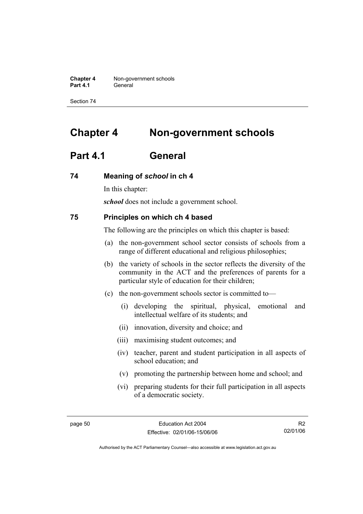**Chapter 4 Non-government schools**<br>**Part 4.1 General** General

Section 74

# **Chapter 4 Non-government schools**

## **Part 4.1 General**

#### **74 Meaning of** *school* **in ch 4**

In this chapter:

*school* does not include a government school.

#### **75 Principles on which ch 4 based**

The following are the principles on which this chapter is based:

- (a) the non-government school sector consists of schools from a range of different educational and religious philosophies;
- (b) the variety of schools in the sector reflects the diversity of the community in the ACT and the preferences of parents for a particular style of education for their children;
- (c) the non-government schools sector is committed to—
	- (i) developing the spiritual, physical, emotional and intellectual welfare of its students; and
	- (ii) innovation, diversity and choice; and
	- (iii) maximising student outcomes; and
	- (iv) teacher, parent and student participation in all aspects of school education; and
	- (v) promoting the partnership between home and school; and
	- (vi) preparing students for their full participation in all aspects of a democratic society.

R2 02/01/06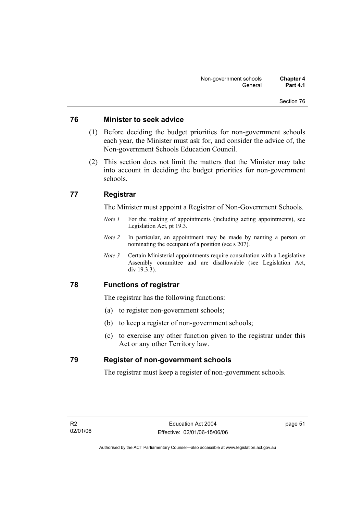#### Section 76

#### **76 Minister to seek advice**

- (1) Before deciding the budget priorities for non-government schools each year, the Minister must ask for, and consider the advice of, the Non-government Schools Education Council.
- (2) This section does not limit the matters that the Minister may take into account in deciding the budget priorities for non-government schools.

#### **77 Registrar**

The Minister must appoint a Registrar of Non-Government Schools.

- *Note 1* For the making of appointments (including acting appointments), see Legislation Act, pt 19.3.
- *Note 2* In particular, an appointment may be made by naming a person or nominating the occupant of a position (see s 207).
- *Note 3* Certain Ministerial appointments require consultation with a Legislative Assembly committee and are disallowable (see Legislation Act, div 19.3.3).

#### **78 Functions of registrar**

The registrar has the following functions:

- (a) to register non-government schools;
- (b) to keep a register of non-government schools;
- (c) to exercise any other function given to the registrar under this Act or any other Territory law.

#### **79 Register of non-government schools**

The registrar must keep a register of non-government schools.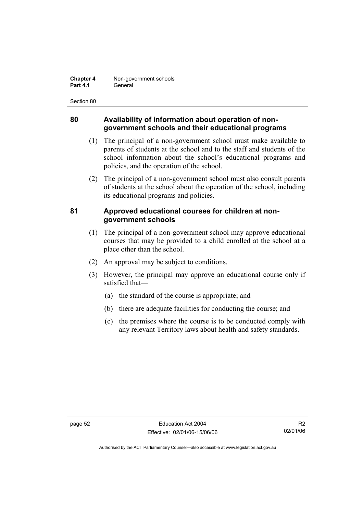**Chapter 4 Non-government schools**<br>**Part 4.1 General Part 4.1** General

Section 80

### **80 Availability of information about operation of nongovernment schools and their educational programs**

- (1) The principal of a non-government school must make available to parents of students at the school and to the staff and students of the school information about the school's educational programs and policies, and the operation of the school.
- (2) The principal of a non-government school must also consult parents of students at the school about the operation of the school, including its educational programs and policies.

#### **81 Approved educational courses for children at nongovernment schools**

- (1) The principal of a non-government school may approve educational courses that may be provided to a child enrolled at the school at a place other than the school.
- (2) An approval may be subject to conditions.
- (3) However, the principal may approve an educational course only if satisfied that—
	- (a) the standard of the course is appropriate; and
	- (b) there are adequate facilities for conducting the course; and
	- (c) the premises where the course is to be conducted comply with any relevant Territory laws about health and safety standards.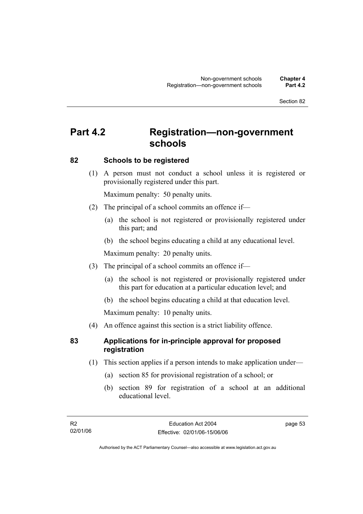Section 82

# **Part 4.2 Registration—non-government schools**

#### **82 Schools to be registered**

 (1) A person must not conduct a school unless it is registered or provisionally registered under this part.

Maximum penalty: 50 penalty units.

- (2) The principal of a school commits an offence if—
	- (a) the school is not registered or provisionally registered under this part; and
	- (b) the school begins educating a child at any educational level.

Maximum penalty: 20 penalty units.

- (3) The principal of a school commits an offence if—
	- (a) the school is not registered or provisionally registered under this part for education at a particular education level; and
	- (b) the school begins educating a child at that education level.

Maximum penalty: 10 penalty units.

(4) An offence against this section is a strict liability offence.

**83 Applications for in-principle approval for proposed registration** 

- (1) This section applies if a person intends to make application under—
	- (a) section 85 for provisional registration of a school; or
	- (b) section 89 for registration of a school at an additional educational level.

page 53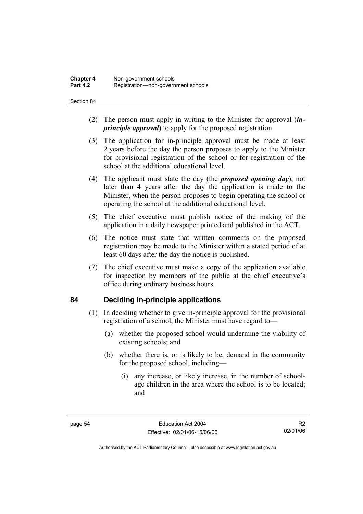#### Section 84

- (2) The person must apply in writing to the Minister for approval (*inprinciple approval*) to apply for the proposed registration.
- (3) The application for in-principle approval must be made at least 2 years before the day the person proposes to apply to the Minister for provisional registration of the school or for registration of the school at the additional educational level.
- (4) The applicant must state the day (the *proposed opening day*), not later than 4 years after the day the application is made to the Minister, when the person proposes to begin operating the school or operating the school at the additional educational level.
- (5) The chief executive must publish notice of the making of the application in a daily newspaper printed and published in the ACT.
- (6) The notice must state that written comments on the proposed registration may be made to the Minister within a stated period of at least 60 days after the day the notice is published.
- (7) The chief executive must make a copy of the application available for inspection by members of the public at the chief executive's office during ordinary business hours.

#### **84 Deciding in-principle applications**

- (1) In deciding whether to give in-principle approval for the provisional registration of a school, the Minister must have regard to—
	- (a) whether the proposed school would undermine the viability of existing schools; and
	- (b) whether there is, or is likely to be, demand in the community for the proposed school, including—
		- (i) any increase, or likely increase, in the number of schoolage children in the area where the school is to be located; and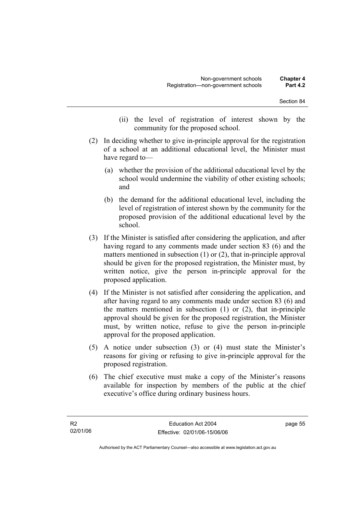- (ii) the level of registration of interest shown by the community for the proposed school.
- (2) In deciding whether to give in-principle approval for the registration of a school at an additional educational level, the Minister must have regard to—
	- (a) whether the provision of the additional educational level by the school would undermine the viability of other existing schools; and
	- (b) the demand for the additional educational level, including the level of registration of interest shown by the community for the proposed provision of the additional educational level by the school.
- (3) If the Minister is satisfied after considering the application, and after having regard to any comments made under section 83 (6) and the matters mentioned in subsection (1) or (2), that in-principle approval should be given for the proposed registration, the Minister must, by written notice, give the person in-principle approval for the proposed application.
- (4) If the Minister is not satisfied after considering the application, and after having regard to any comments made under section 83 (6) and the matters mentioned in subsection (1) or (2), that in-principle approval should be given for the proposed registration, the Minister must, by written notice, refuse to give the person in-principle approval for the proposed application.
- (5) A notice under subsection (3) or (4) must state the Minister's reasons for giving or refusing to give in-principle approval for the proposed registration.
- (6) The chief executive must make a copy of the Minister's reasons available for inspection by members of the public at the chief executive's office during ordinary business hours.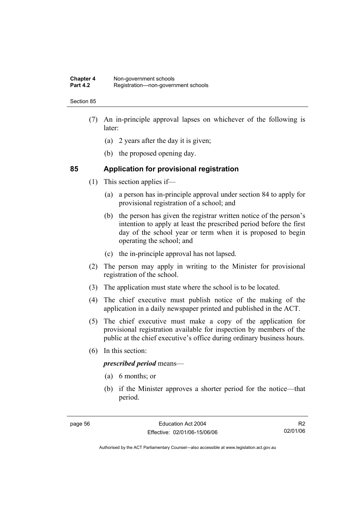#### **Chapter 4 Non-government schools**<br>**Part 4.2 Registration-non-govern Part 4.2** Registration—non-government schools

#### Section 85

- (7) An in-principle approval lapses on whichever of the following is later:
	- (a) 2 years after the day it is given;
	- (b) the proposed opening day.

#### **85 Application for provisional registration**

- (1) This section applies if—
	- (a) a person has in-principle approval under section 84 to apply for provisional registration of a school; and
	- (b) the person has given the registrar written notice of the person's intention to apply at least the prescribed period before the first day of the school year or term when it is proposed to begin operating the school; and
	- (c) the in-principle approval has not lapsed.
- (2) The person may apply in writing to the Minister for provisional registration of the school.
- (3) The application must state where the school is to be located.
- (4) The chief executive must publish notice of the making of the application in a daily newspaper printed and published in the ACT.
- (5) The chief executive must make a copy of the application for provisional registration available for inspection by members of the public at the chief executive's office during ordinary business hours.
- (6) In this section:

#### *prescribed period* means—

- (a) 6 months; or
- (b) if the Minister approves a shorter period for the notice—that period.

R2 02/01/06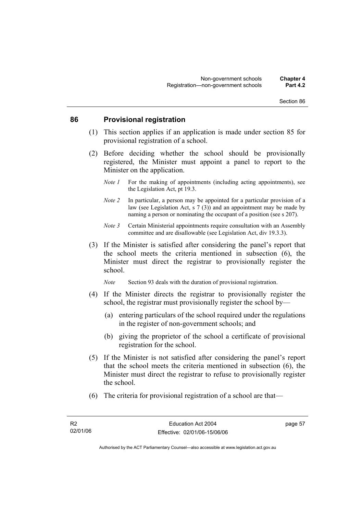#### **86 Provisional registration**

- (1) This section applies if an application is made under section 85 for provisional registration of a school.
- (2) Before deciding whether the school should be provisionally registered, the Minister must appoint a panel to report to the Minister on the application.
	- *Note 1* For the making of appointments (including acting appointments), see the Legislation Act, pt 19.3.
	- *Note 2* In particular, a person may be appointed for a particular provision of a law (see Legislation Act, s 7 (3)) and an appointment may be made by naming a person or nominating the occupant of a position (see s 207).
	- *Note 3* Certain Ministerial appointments require consultation with an Assembly committee and are disallowable (see Legislation Act, div 19.3.3).
- (3) If the Minister is satisfied after considering the panel's report that the school meets the criteria mentioned in subsection (6), the Minister must direct the registrar to provisionally register the school.

*Note* Section 93 deals with the duration of provisional registration.

- (4) If the Minister directs the registrar to provisionally register the school, the registrar must provisionally register the school by—
	- (a) entering particulars of the school required under the regulations in the register of non-government schools; and
	- (b) giving the proprietor of the school a certificate of provisional registration for the school.
- (5) If the Minister is not satisfied after considering the panel's report that the school meets the criteria mentioned in subsection (6), the Minister must direct the registrar to refuse to provisionally register the school.
- (6) The criteria for provisional registration of a school are that—

page 57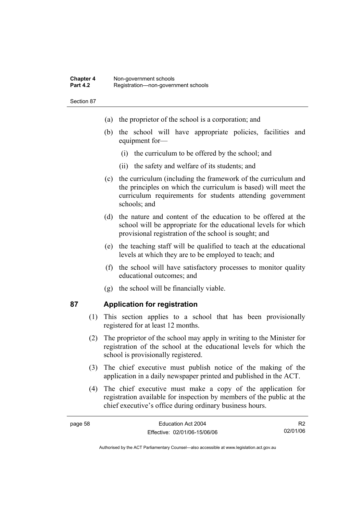Section 87

- (a) the proprietor of the school is a corporation; and
- (b) the school will have appropriate policies, facilities and equipment for—
	- (i) the curriculum to be offered by the school; and
	- (ii) the safety and welfare of its students; and
- (c) the curriculum (including the framework of the curriculum and the principles on which the curriculum is based) will meet the curriculum requirements for students attending government schools; and
- (d) the nature and content of the education to be offered at the school will be appropriate for the educational levels for which provisional registration of the school is sought; and
- (e) the teaching staff will be qualified to teach at the educational levels at which they are to be employed to teach; and
- (f) the school will have satisfactory processes to monitor quality educational outcomes; and
- (g) the school will be financially viable.

#### **87 Application for registration**

- (1) This section applies to a school that has been provisionally registered for at least 12 months.
- (2) The proprietor of the school may apply in writing to the Minister for registration of the school at the educational levels for which the school is provisionally registered.
- (3) The chief executive must publish notice of the making of the application in a daily newspaper printed and published in the ACT.
- (4) The chief executive must make a copy of the application for registration available for inspection by members of the public at the chief executive's office during ordinary business hours.

R2

page 58 Education Act 2004 Effective: 02/01/06-15/06/06 02/01/06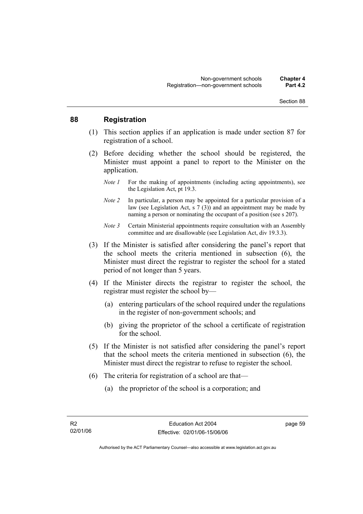#### **88 Registration**

- (1) This section applies if an application is made under section 87 for registration of a school.
- (2) Before deciding whether the school should be registered, the Minister must appoint a panel to report to the Minister on the application.
	- *Note 1* For the making of appointments (including acting appointments), see the Legislation Act, pt 19.3.
	- *Note 2* In particular, a person may be appointed for a particular provision of a law (see Legislation Act, s 7 (3)) and an appointment may be made by naming a person or nominating the occupant of a position (see s 207).
	- *Note 3* Certain Ministerial appointments require consultation with an Assembly committee and are disallowable (see Legislation Act, div 19.3.3).
- (3) If the Minister is satisfied after considering the panel's report that the school meets the criteria mentioned in subsection (6), the Minister must direct the registrar to register the school for a stated period of not longer than 5 years.
- (4) If the Minister directs the registrar to register the school, the registrar must register the school by—
	- (a) entering particulars of the school required under the regulations in the register of non-government schools; and
	- (b) giving the proprietor of the school a certificate of registration for the school.
- (5) If the Minister is not satisfied after considering the panel's report that the school meets the criteria mentioned in subsection (6), the Minister must direct the registrar to refuse to register the school.
- (6) The criteria for registration of a school are that—
	- (a) the proprietor of the school is a corporation; and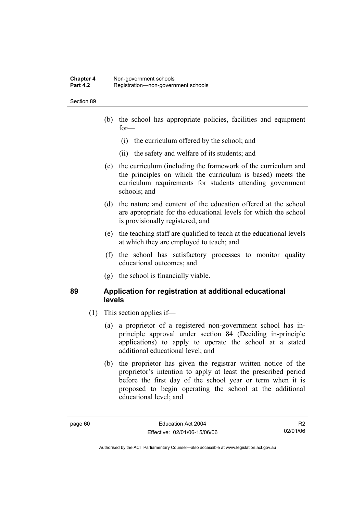#### **Chapter 4 Non-government schools**<br>**Part 4.2 Registration-non-governed Part 4.2** Registration—non-government schools

#### Section 89

- (b) the school has appropriate policies, facilities and equipment for—
	- (i) the curriculum offered by the school; and
	- (ii) the safety and welfare of its students; and
- (c) the curriculum (including the framework of the curriculum and the principles on which the curriculum is based) meets the curriculum requirements for students attending government schools; and
- (d) the nature and content of the education offered at the school are appropriate for the educational levels for which the school is provisionally registered; and
- (e) the teaching staff are qualified to teach at the educational levels at which they are employed to teach; and
- (f) the school has satisfactory processes to monitor quality educational outcomes; and
- (g) the school is financially viable.

#### **89 Application for registration at additional educational levels**

- (1) This section applies if—
	- (a) a proprietor of a registered non-government school has inprinciple approval under section 84 (Deciding in-principle applications) to apply to operate the school at a stated additional educational level; and
	- (b) the proprietor has given the registrar written notice of the proprietor's intention to apply at least the prescribed period before the first day of the school year or term when it is proposed to begin operating the school at the additional educational level; and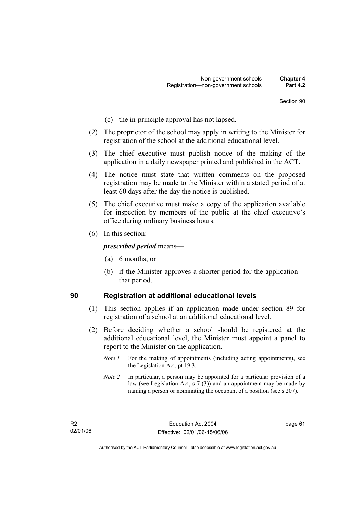- (c) the in-principle approval has not lapsed.
- (2) The proprietor of the school may apply in writing to the Minister for registration of the school at the additional educational level.
- (3) The chief executive must publish notice of the making of the application in a daily newspaper printed and published in the ACT.
- (4) The notice must state that written comments on the proposed registration may be made to the Minister within a stated period of at least 60 days after the day the notice is published.
- (5) The chief executive must make a copy of the application available for inspection by members of the public at the chief executive's office during ordinary business hours.
- (6) In this section:

*prescribed period* means—

- (a) 6 months; or
- (b) if the Minister approves a shorter period for the application that period.

#### **90 Registration at additional educational levels**

- (1) This section applies if an application made under section 89 for registration of a school at an additional educational level.
- (2) Before deciding whether a school should be registered at the additional educational level, the Minister must appoint a panel to report to the Minister on the application.
	- *Note 1* For the making of appointments (including acting appointments), see the Legislation Act, pt 19.3.
	- *Note 2* In particular, a person may be appointed for a particular provision of a law (see Legislation Act, s 7 (3)) and an appointment may be made by naming a person or nominating the occupant of a position (see s 207).

page 61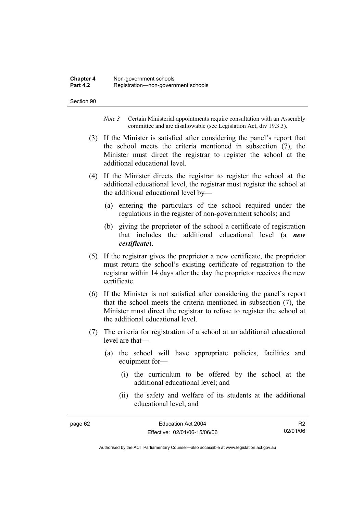#### Section 90

*Note 3* Certain Ministerial appointments require consultation with an Assembly committee and are disallowable (see Legislation Act, div 19.3.3).

- (3) If the Minister is satisfied after considering the panel's report that the school meets the criteria mentioned in subsection (7), the Minister must direct the registrar to register the school at the additional educational level.
- (4) If the Minister directs the registrar to register the school at the additional educational level, the registrar must register the school at the additional educational level by—
	- (a) entering the particulars of the school required under the regulations in the register of non-government schools; and
	- (b) giving the proprietor of the school a certificate of registration that includes the additional educational level (a *new certificate*).
- (5) If the registrar gives the proprietor a new certificate, the proprietor must return the school's existing certificate of registration to the registrar within 14 days after the day the proprietor receives the new certificate.
- (6) If the Minister is not satisfied after considering the panel's report that the school meets the criteria mentioned in subsection (7), the Minister must direct the registrar to refuse to register the school at the additional educational level.
- (7) The criteria for registration of a school at an additional educational level are that—
	- (a) the school will have appropriate policies, facilities and equipment for—
		- (i) the curriculum to be offered by the school at the additional educational level; and
		- (ii) the safety and welfare of its students at the additional educational level; and

| U.<br>н |  |
|---------|--|
|---------|--|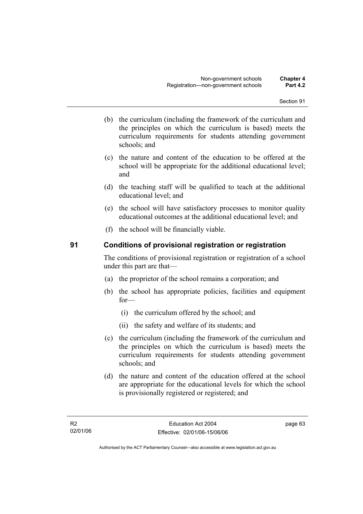- (b) the curriculum (including the framework of the curriculum and the principles on which the curriculum is based) meets the curriculum requirements for students attending government schools; and
- (c) the nature and content of the education to be offered at the school will be appropriate for the additional educational level; and
- (d) the teaching staff will be qualified to teach at the additional educational level; and
- (e) the school will have satisfactory processes to monitor quality educational outcomes at the additional educational level; and
- (f) the school will be financially viable.

### **91 Conditions of provisional registration or registration**

The conditions of provisional registration or registration of a school under this part are that—

- (a) the proprietor of the school remains a corporation; and
- (b) the school has appropriate policies, facilities and equipment for—
	- (i) the curriculum offered by the school; and
	- (ii) the safety and welfare of its students; and
- (c) the curriculum (including the framework of the curriculum and the principles on which the curriculum is based) meets the curriculum requirements for students attending government schools; and
- (d) the nature and content of the education offered at the school are appropriate for the educational levels for which the school is provisionally registered or registered; and

page 63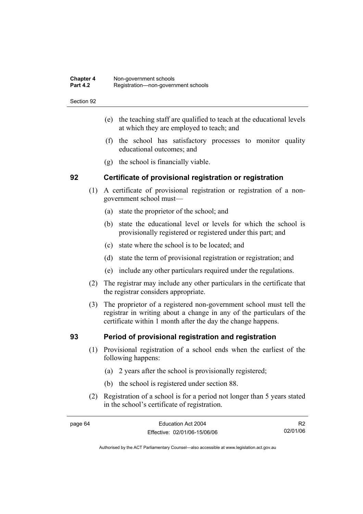| <b>Chapter 4</b> | Non-government schools              |
|------------------|-------------------------------------|
| <b>Part 4.2</b>  | Registration-non-government schools |

- (e) the teaching staff are qualified to teach at the educational levels at which they are employed to teach; and
- (f) the school has satisfactory processes to monitor quality educational outcomes; and
- (g) the school is financially viable.

### **92 Certificate of provisional registration or registration**

- (1) A certificate of provisional registration or registration of a nongovernment school must—
	- (a) state the proprietor of the school; and
	- (b) state the educational level or levels for which the school is provisionally registered or registered under this part; and
	- (c) state where the school is to be located; and
	- (d) state the term of provisional registration or registration; and
	- (e) include any other particulars required under the regulations.
- (2) The registrar may include any other particulars in the certificate that the registrar considers appropriate.
- (3) The proprietor of a registered non-government school must tell the registrar in writing about a change in any of the particulars of the certificate within 1 month after the day the change happens.

#### **93 Period of provisional registration and registration**

- (1) Provisional registration of a school ends when the earliest of the following happens:
	- (a) 2 years after the school is provisionally registered;
	- (b) the school is registered under section 88.
- (2) Registration of a school is for a period not longer than 5 years stated in the school's certificate of registration.

| page 64 | Education Act 2004           | R2       |
|---------|------------------------------|----------|
|         | Effective: 02/01/06-15/06/06 | 02/01/06 |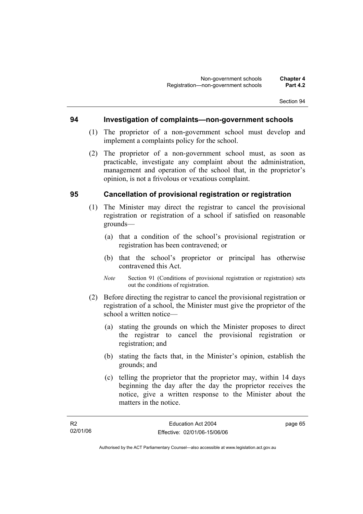#### **94 Investigation of complaints—non-government schools**

- (1) The proprietor of a non-government school must develop and implement a complaints policy for the school.
- (2) The proprietor of a non-government school must, as soon as practicable, investigate any complaint about the administration, management and operation of the school that, in the proprietor's opinion, is not a frivolous or vexatious complaint.

#### **95 Cancellation of provisional registration or registration**

- (1) The Minister may direct the registrar to cancel the provisional registration or registration of a school if satisfied on reasonable grounds—
	- (a) that a condition of the school's provisional registration or registration has been contravened; or
	- (b) that the school's proprietor or principal has otherwise contravened this Act.
	- *Note* Section 91 (Conditions of provisional registration or registration) sets out the conditions of registration.
- (2) Before directing the registrar to cancel the provisional registration or registration of a school, the Minister must give the proprietor of the school a written notice—
	- (a) stating the grounds on which the Minister proposes to direct the registrar to cancel the provisional registration or registration; and
	- (b) stating the facts that, in the Minister's opinion, establish the grounds; and
	- (c) telling the proprietor that the proprietor may, within 14 days beginning the day after the day the proprietor receives the notice, give a written response to the Minister about the matters in the notice.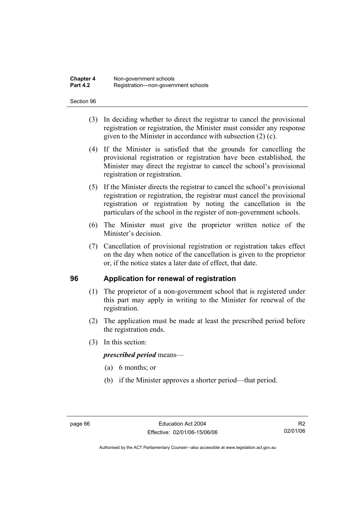- (3) In deciding whether to direct the registrar to cancel the provisional registration or registration, the Minister must consider any response given to the Minister in accordance with subsection (2) (c).
- (4) If the Minister is satisfied that the grounds for cancelling the provisional registration or registration have been established, the Minister may direct the registrar to cancel the school's provisional registration or registration.
- (5) If the Minister directs the registrar to cancel the school's provisional registration or registration, the registrar must cancel the provisional registration or registration by noting the cancellation in the particulars of the school in the register of non-government schools.
- (6) The Minister must give the proprietor written notice of the Minister's decision.
- (7) Cancellation of provisional registration or registration takes effect on the day when notice of the cancellation is given to the proprietor or, if the notice states a later date of effect, that date.

#### **96 Application for renewal of registration**

- (1) The proprietor of a non-government school that is registered under this part may apply in writing to the Minister for renewal of the registration.
- (2) The application must be made at least the prescribed period before the registration ends.
- (3) In this section:

#### *prescribed period* means—

- (a) 6 months; or
- (b) if the Minister approves a shorter period—that period.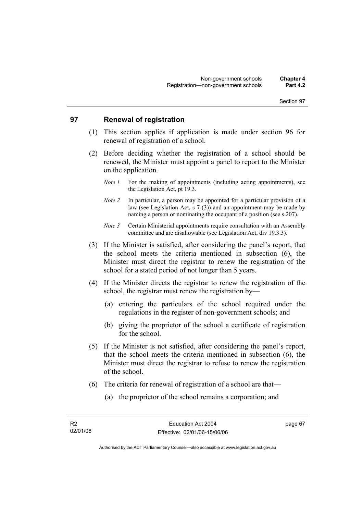#### **97 Renewal of registration**

- (1) This section applies if application is made under section 96 for renewal of registration of a school.
- (2) Before deciding whether the registration of a school should be renewed, the Minister must appoint a panel to report to the Minister on the application.
	- *Note 1* For the making of appointments (including acting appointments), see the Legislation Act, pt 19.3.
	- *Note 2* In particular, a person may be appointed for a particular provision of a law (see Legislation Act, s 7 (3)) and an appointment may be made by naming a person or nominating the occupant of a position (see s 207).
	- *Note 3* Certain Ministerial appointments require consultation with an Assembly committee and are disallowable (see Legislation Act, div 19.3.3).
- (3) If the Minister is satisfied, after considering the panel's report, that the school meets the criteria mentioned in subsection (6), the Minister must direct the registrar to renew the registration of the school for a stated period of not longer than 5 years.
- (4) If the Minister directs the registrar to renew the registration of the school, the registrar must renew the registration by—
	- (a) entering the particulars of the school required under the regulations in the register of non-government schools; and
	- (b) giving the proprietor of the school a certificate of registration for the school.
- (5) If the Minister is not satisfied, after considering the panel's report, that the school meets the criteria mentioned in subsection (6), the Minister must direct the registrar to refuse to renew the registration of the school.
- (6) The criteria for renewal of registration of a school are that—
	- (a) the proprietor of the school remains a corporation; and

page 67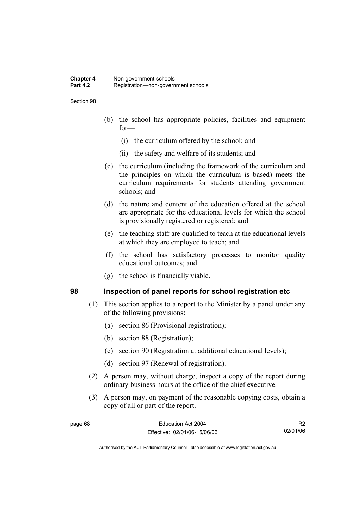#### **Chapter 4 Non-government schools**<br>**Part 4.2 Registration-non-governed Part 4.2** Registration—non-government schools

#### Section 98

- (b) the school has appropriate policies, facilities and equipment for—
	- (i) the curriculum offered by the school; and
	- (ii) the safety and welfare of its students; and
- (c) the curriculum (including the framework of the curriculum and the principles on which the curriculum is based) meets the curriculum requirements for students attending government schools; and
- (d) the nature and content of the education offered at the school are appropriate for the educational levels for which the school is provisionally registered or registered; and
- (e) the teaching staff are qualified to teach at the educational levels at which they are employed to teach; and
- (f) the school has satisfactory processes to monitor quality educational outcomes; and
- (g) the school is financially viable.

#### **98 Inspection of panel reports for school registration etc**

- (1) This section applies to a report to the Minister by a panel under any of the following provisions:
	- (a) section 86 (Provisional registration);
	- (b) section 88 (Registration);
	- (c) section 90 (Registration at additional educational levels);
	- (d) section 97 (Renewal of registration).
- (2) A person may, without charge, inspect a copy of the report during ordinary business hours at the office of the chief executive.
- (3) A person may, on payment of the reasonable copying costs, obtain a copy of all or part of the report.

| page 68 | Education Act 2004           |          |
|---------|------------------------------|----------|
|         | Effective: 02/01/06-15/06/06 | 02/01/06 |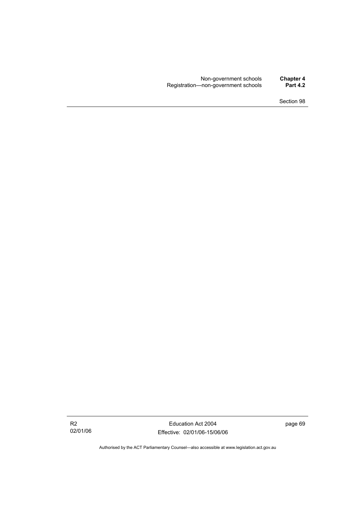Non-government schools **Chapter 4**  Registration—non-government schools **Part 4.2** 

Section 98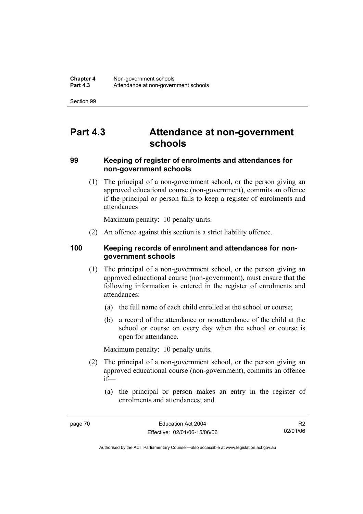# **Part 4.3 Attendance at non-government schools**

#### **99 Keeping of register of enrolments and attendances for non-government schools**

 (1) The principal of a non-government school, or the person giving an approved educational course (non-government), commits an offence if the principal or person fails to keep a register of enrolments and attendances

Maximum penalty: 10 penalty units.

(2) An offence against this section is a strict liability offence.

### **100 Keeping records of enrolment and attendances for nongovernment schools**

- (1) The principal of a non-government school, or the person giving an approved educational course (non-government), must ensure that the following information is entered in the register of enrolments and attendances:
	- (a) the full name of each child enrolled at the school or course;
	- (b) a record of the attendance or nonattendance of the child at the school or course on every day when the school or course is open for attendance.

Maximum penalty: 10 penalty units.

- (2) The principal of a non-government school, or the person giving an approved educational course (non-government), commits an offence if—
	- (a) the principal or person makes an entry in the register of enrolments and attendances; and

R2 02/01/06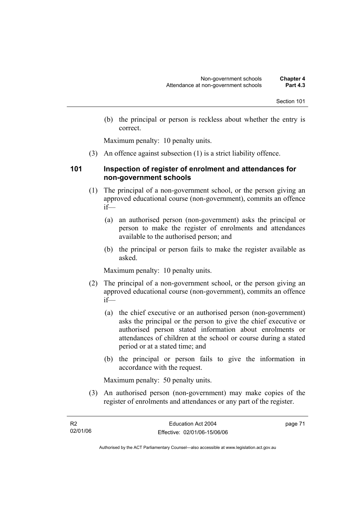(b) the principal or person is reckless about whether the entry is correct.

Maximum penalty: 10 penalty units.

(3) An offence against subsection (1) is a strict liability offence.

#### **101 Inspection of register of enrolment and attendances for non-government schools**

- (1) The principal of a non-government school, or the person giving an approved educational course (non-government), commits an offence if—
	- (a) an authorised person (non-government) asks the principal or person to make the register of enrolments and attendances available to the authorised person; and
	- (b) the principal or person fails to make the register available as asked.

Maximum penalty: 10 penalty units.

- (2) The principal of a non-government school, or the person giving an approved educational course (non-government), commits an offence if—
	- (a) the chief executive or an authorised person (non-government) asks the principal or the person to give the chief executive or authorised person stated information about enrolments or attendances of children at the school or course during a stated period or at a stated time; and
	- (b) the principal or person fails to give the information in accordance with the request.

Maximum penalty: 50 penalty units.

 (3) An authorised person (non-government) may make copies of the register of enrolments and attendances or any part of the register.

page 71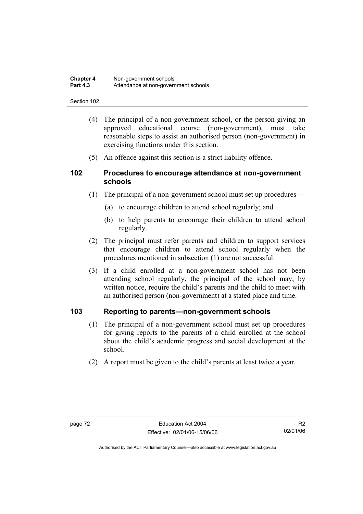#### **Chapter 4 Non-government schools**<br>**Part 4.3 Attendance at non-governed** Attendance at non-government schools

#### Section 102

- (4) The principal of a non-government school, or the person giving an approved educational course (non-government), must take reasonable steps to assist an authorised person (non-government) in exercising functions under this section.
- (5) An offence against this section is a strict liability offence.

#### **102 Procedures to encourage attendance at non-government schools**

- (1) The principal of a non-government school must set up procedures—
	- (a) to encourage children to attend school regularly; and
	- (b) to help parents to encourage their children to attend school regularly.
- (2) The principal must refer parents and children to support services that encourage children to attend school regularly when the procedures mentioned in subsection (1) are not successful.
- (3) If a child enrolled at a non-government school has not been attending school regularly, the principal of the school may, by written notice, require the child's parents and the child to meet with an authorised person (non-government) at a stated place and time.

### **103 Reporting to parents—non-government schools**

- (1) The principal of a non-government school must set up procedures for giving reports to the parents of a child enrolled at the school about the child's academic progress and social development at the school.
- (2) A report must be given to the child's parents at least twice a year.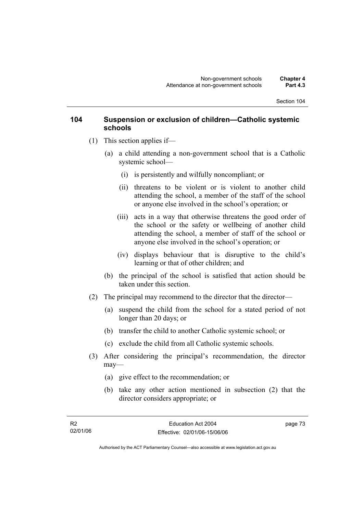#### **104 Suspension or exclusion of children—Catholic systemic schools**

- (1) This section applies if—
	- (a) a child attending a non-government school that is a Catholic systemic school—
		- (i) is persistently and wilfully noncompliant; or
		- (ii) threatens to be violent or is violent to another child attending the school, a member of the staff of the school or anyone else involved in the school's operation; or
		- (iii) acts in a way that otherwise threatens the good order of the school or the safety or wellbeing of another child attending the school, a member of staff of the school or anyone else involved in the school's operation; or
		- (iv) displays behaviour that is disruptive to the child's learning or that of other children; and
	- (b) the principal of the school is satisfied that action should be taken under this section.
- (2) The principal may recommend to the director that the director—
	- (a) suspend the child from the school for a stated period of not longer than 20 days; or
	- (b) transfer the child to another Catholic systemic school; or
	- (c) exclude the child from all Catholic systemic schools.
- (3) After considering the principal's recommendation, the director may—
	- (a) give effect to the recommendation; or
	- (b) take any other action mentioned in subsection (2) that the director considers appropriate; or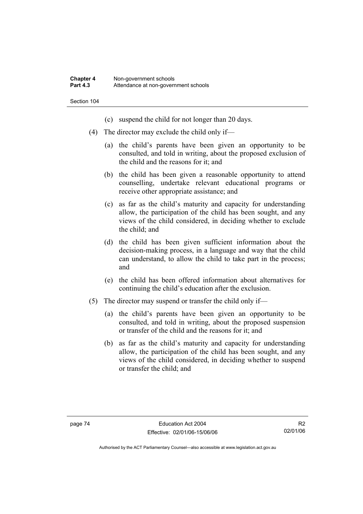- (c) suspend the child for not longer than 20 days.
- (4) The director may exclude the child only if—
	- (a) the child's parents have been given an opportunity to be consulted, and told in writing, about the proposed exclusion of the child and the reasons for it; and
	- (b) the child has been given a reasonable opportunity to attend counselling, undertake relevant educational programs or receive other appropriate assistance; and
	- (c) as far as the child's maturity and capacity for understanding allow, the participation of the child has been sought, and any views of the child considered, in deciding whether to exclude the child; and
	- (d) the child has been given sufficient information about the decision-making process, in a language and way that the child can understand, to allow the child to take part in the process; and
	- (e) the child has been offered information about alternatives for continuing the child's education after the exclusion.
- (5) The director may suspend or transfer the child only if—
	- (a) the child's parents have been given an opportunity to be consulted, and told in writing, about the proposed suspension or transfer of the child and the reasons for it; and
	- (b) as far as the child's maturity and capacity for understanding allow, the participation of the child has been sought, and any views of the child considered, in deciding whether to suspend or transfer the child; and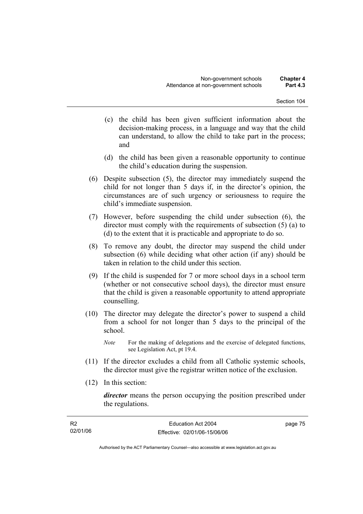- (c) the child has been given sufficient information about the decision-making process, in a language and way that the child can understand, to allow the child to take part in the process; and
- (d) the child has been given a reasonable opportunity to continue the child's education during the suspension.
- (6) Despite subsection (5), the director may immediately suspend the child for not longer than 5 days if, in the director's opinion, the circumstances are of such urgency or seriousness to require the child's immediate suspension.
- (7) However, before suspending the child under subsection (6), the director must comply with the requirements of subsection (5) (a) to (d) to the extent that it is practicable and appropriate to do so.
- (8) To remove any doubt, the director may suspend the child under subsection (6) while deciding what other action (if any) should be taken in relation to the child under this section.
- (9) If the child is suspended for 7 or more school days in a school term (whether or not consecutive school days), the director must ensure that the child is given a reasonable opportunity to attend appropriate counselling.
- (10) The director may delegate the director's power to suspend a child from a school for not longer than 5 days to the principal of the school.
	- *Note* For the making of delegations and the exercise of delegated functions, see Legislation Act, pt 19.4.
- (11) If the director excludes a child from all Catholic systemic schools, the director must give the registrar written notice of the exclusion.
- (12) In this section:

*director* means the person occupying the position prescribed under the regulations.

| - R2     | Education Act 2004           | page 75 |
|----------|------------------------------|---------|
| 02/01/06 | Effective: 02/01/06-15/06/06 |         |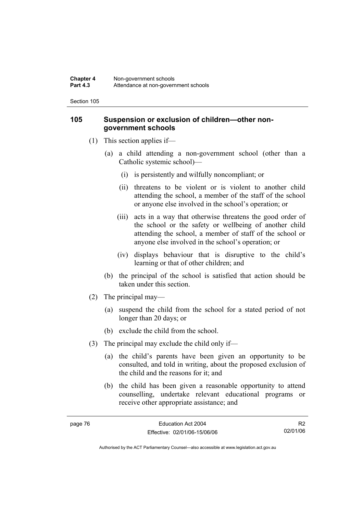#### **105 Suspension or exclusion of children—other nongovernment schools**

- (1) This section applies if—
	- (a) a child attending a non-government school (other than a Catholic systemic school)—
		- (i) is persistently and wilfully noncompliant; or
		- (ii) threatens to be violent or is violent to another child attending the school, a member of the staff of the school or anyone else involved in the school's operation; or
		- (iii) acts in a way that otherwise threatens the good order of the school or the safety or wellbeing of another child attending the school, a member of staff of the school or anyone else involved in the school's operation; or
		- (iv) displays behaviour that is disruptive to the child's learning or that of other children; and
	- (b) the principal of the school is satisfied that action should be taken under this section.
- (2) The principal may—
	- (a) suspend the child from the school for a stated period of not longer than 20 days; or
	- (b) exclude the child from the school.
- (3) The principal may exclude the child only if—
	- (a) the child's parents have been given an opportunity to be consulted, and told in writing, about the proposed exclusion of the child and the reasons for it; and
	- (b) the child has been given a reasonable opportunity to attend counselling, undertake relevant educational programs or receive other appropriate assistance; and

R2 02/01/06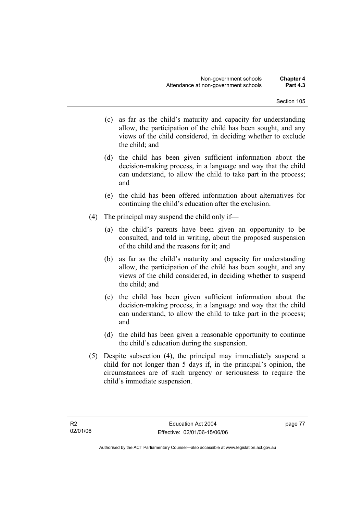- (c) as far as the child's maturity and capacity for understanding allow, the participation of the child has been sought, and any views of the child considered, in deciding whether to exclude the child; and
- (d) the child has been given sufficient information about the decision-making process, in a language and way that the child can understand, to allow the child to take part in the process; and
- (e) the child has been offered information about alternatives for continuing the child's education after the exclusion.
- (4) The principal may suspend the child only if—
	- (a) the child's parents have been given an opportunity to be consulted, and told in writing, about the proposed suspension of the child and the reasons for it; and
	- (b) as far as the child's maturity and capacity for understanding allow, the participation of the child has been sought, and any views of the child considered, in deciding whether to suspend the child; and
	- (c) the child has been given sufficient information about the decision-making process, in a language and way that the child can understand, to allow the child to take part in the process; and
	- (d) the child has been given a reasonable opportunity to continue the child's education during the suspension.
- (5) Despite subsection (4), the principal may immediately suspend a child for not longer than 5 days if, in the principal's opinion, the circumstances are of such urgency or seriousness to require the child's immediate suspension.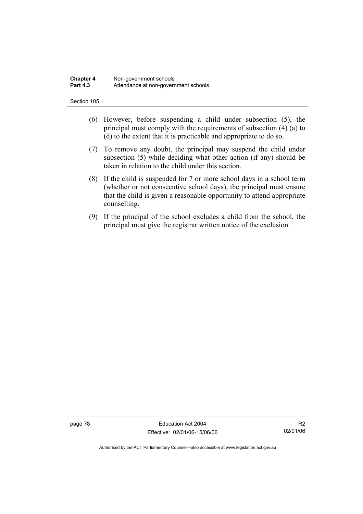| <b>Chapter 4</b> | Non-government schools               |
|------------------|--------------------------------------|
| <b>Part 4.3</b>  | Attendance at non-government schools |

- (6) However, before suspending a child under subsection (5), the principal must comply with the requirements of subsection (4) (a) to (d) to the extent that it is practicable and appropriate to do so.
- (7) To remove any doubt, the principal may suspend the child under subsection (5) while deciding what other action (if any) should be taken in relation to the child under this section.
- (8) If the child is suspended for 7 or more school days in a school term (whether or not consecutive school days), the principal must ensure that the child is given a reasonable opportunity to attend appropriate counselling.
- (9) If the principal of the school excludes a child from the school, the principal must give the registrar written notice of the exclusion.

page 78 Education Act 2004 Effective: 02/01/06-15/06/06

R2 02/01/06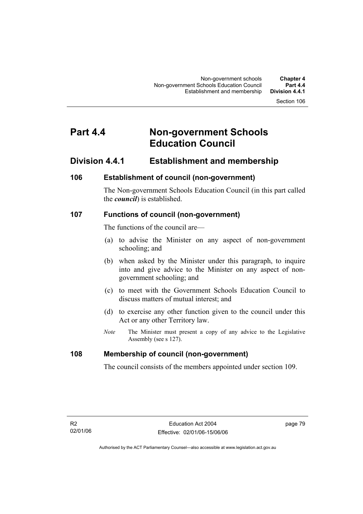# **Part 4.4 Non-government Schools Education Council**

### **Division 4.4.1 Establishment and membership**

#### **106 Establishment of council (non-government)**

The Non-government Schools Education Council (in this part called the *council*) is established.

#### **107 Functions of council (non-government)**

The functions of the council are—

- (a) to advise the Minister on any aspect of non-government schooling; and
- (b) when asked by the Minister under this paragraph, to inquire into and give advice to the Minister on any aspect of nongovernment schooling; and
- (c) to meet with the Government Schools Education Council to discuss matters of mutual interest; and
- (d) to exercise any other function given to the council under this Act or any other Territory law.
- *Note* The Minister must present a copy of any advice to the Legislative Assembly (see s 127).

#### **108 Membership of council (non-government)**

The council consists of the members appointed under section 109.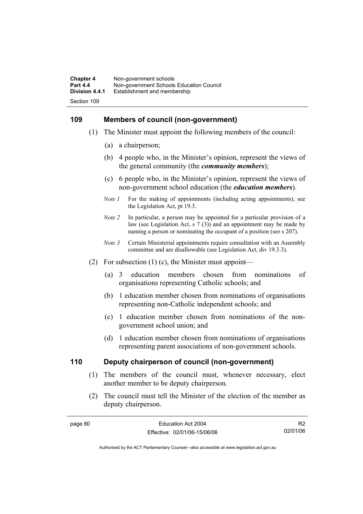#### **109 Members of council (non-government)**

- (1) The Minister must appoint the following members of the council:
	- (a) a chairperson;
	- (b) 4 people who, in the Minister's opinion, represent the views of the general community (the *community members*);
	- (c) 6 people who, in the Minister's opinion, represent the views of non-government school education (the *education members*).
	- *Note 1* For the making of appointments (including acting appointments), see the Legislation Act, pt 19.3.
	- *Note 2* In particular, a person may be appointed for a particular provision of a law (see Legislation Act, s 7 (3)) and an appointment may be made by naming a person or nominating the occupant of a position (see s 207).
	- *Note 3* Certain Ministerial appointments require consultation with an Assembly committee and are disallowable (see Legislation Act, div 19.3.3).
- (2) For subsection (1) (c), the Minister must appoint—
	- (a) 3 education members chosen from nominations of organisations representing Catholic schools; and
	- (b) 1 education member chosen from nominations of organisations representing non-Catholic independent schools; and
	- (c) 1 education member chosen from nominations of the nongovernment school union; and
	- (d) 1 education member chosen from nominations of organisations representing parent associations of non-government schools.

#### **110 Deputy chairperson of council (non-government)**

- (1) The members of the council must, whenever necessary, elect another member to be deputy chairperson.
- (2) The council must tell the Minister of the election of the member as deputy chairperson.

| page 80 | Education Act 2004           |          |
|---------|------------------------------|----------|
|         | Effective: 02/01/06-15/06/06 | 02/01/06 |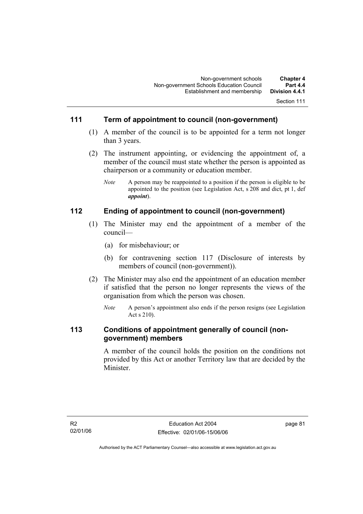#### **111 Term of appointment to council (non-government)**

- (1) A member of the council is to be appointed for a term not longer than 3 years.
- (2) The instrument appointing, or evidencing the appointment of, a member of the council must state whether the person is appointed as chairperson or a community or education member.
	- *Note* A person may be reappointed to a position if the person is eligible to be appointed to the position (see Legislation Act, s 208 and dict, pt 1, def *appoint*).

#### **112 Ending of appointment to council (non-government)**

- (1) The Minister may end the appointment of a member of the council—
	- (a) for misbehaviour; or
	- (b) for contravening section 117 (Disclosure of interests by members of council (non-government)).
- (2) The Minister may also end the appointment of an education member if satisfied that the person no longer represents the views of the organisation from which the person was chosen.
	- *Note* A person's appointment also ends if the person resigns (see Legislation Act s 210).

#### **113 Conditions of appointment generally of council (nongovernment) members**

A member of the council holds the position on the conditions not provided by this Act or another Territory law that are decided by the **Minister** 

page 81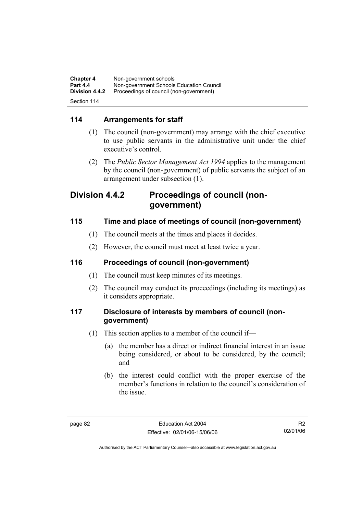| <b>Chapter 4</b>      | Non-government schools                   |
|-----------------------|------------------------------------------|
| <b>Part 4.4</b>       | Non-government Schools Education Council |
| <b>Division 4.4.2</b> | Proceedings of council (non-government)  |
| Section 114           |                                          |

### **114 Arrangements for staff**

- (1) The council (non-government) may arrange with the chief executive to use public servants in the administrative unit under the chief executive's control.
- (2) The *Public Sector Management Act 1994* applies to the management by the council (non-government) of public servants the subject of an arrangement under subsection (1).

# **Division 4.4.2 Proceedings of council (nongovernment)**

### **115 Time and place of meetings of council (non-government)**

- (1) The council meets at the times and places it decides.
- (2) However, the council must meet at least twice a year.

### **116 Proceedings of council (non-government)**

- (1) The council must keep minutes of its meetings.
- (2) The council may conduct its proceedings (including its meetings) as it considers appropriate.

### **117 Disclosure of interests by members of council (nongovernment)**

- (1) This section applies to a member of the council if—
	- (a) the member has a direct or indirect financial interest in an issue being considered, or about to be considered, by the council; and
	- (b) the interest could conflict with the proper exercise of the member's functions in relation to the council's consideration of the issue.

R2 02/01/06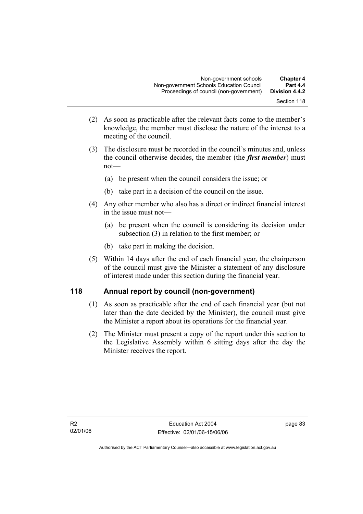- (2) As soon as practicable after the relevant facts come to the member's knowledge, the member must disclose the nature of the interest to a meeting of the council.
- (3) The disclosure must be recorded in the council's minutes and, unless the council otherwise decides, the member (the *first member*) must not—
	- (a) be present when the council considers the issue; or
	- (b) take part in a decision of the council on the issue.
- (4) Any other member who also has a direct or indirect financial interest in the issue must not—
	- (a) be present when the council is considering its decision under subsection (3) in relation to the first member; or
	- (b) take part in making the decision.
- (5) Within 14 days after the end of each financial year, the chairperson of the council must give the Minister a statement of any disclosure of interest made under this section during the financial year.

### **118 Annual report by council (non-government)**

- (1) As soon as practicable after the end of each financial year (but not later than the date decided by the Minister), the council must give the Minister a report about its operations for the financial year.
- (2) The Minister must present a copy of the report under this section to the Legislative Assembly within 6 sitting days after the day the Minister receives the report.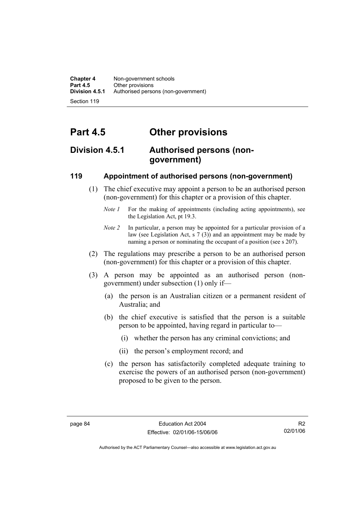**Chapter 4 Non-government schools**<br>**Part 4.5 Other provisions Part 4.5 Other provisions**<br>**Division 4.5.1 Authorised person** Authorised persons (non-government)

Section 119

# **Part 4.5 Other provisions**

# **Division 4.5.1 Authorised persons (nongovernment)**

#### **119 Appointment of authorised persons (non-government)**

- (1) The chief executive may appoint a person to be an authorised person (non-government) for this chapter or a provision of this chapter.
	- *Note 1* For the making of appointments (including acting appointments), see the Legislation Act, pt 19.3.
	- *Note 2* In particular, a person may be appointed for a particular provision of a law (see Legislation Act, s 7 (3)) and an appointment may be made by naming a person or nominating the occupant of a position (see s 207).
- (2) The regulations may prescribe a person to be an authorised person (non-government) for this chapter or a provision of this chapter.
- (3) A person may be appointed as an authorised person (nongovernment) under subsection (1) only if—
	- (a) the person is an Australian citizen or a permanent resident of Australia; and
	- (b) the chief executive is satisfied that the person is a suitable person to be appointed, having regard in particular to—
		- (i) whether the person has any criminal convictions; and
		- (ii) the person's employment record; and
	- (c) the person has satisfactorily completed adequate training to exercise the powers of an authorised person (non-government) proposed to be given to the person.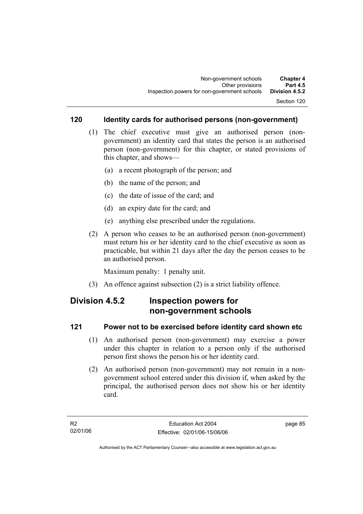#### **120 Identity cards for authorised persons (non-government)**

- (1) The chief executive must give an authorised person (nongovernment) an identity card that states the person is an authorised person (non-government) for this chapter, or stated provisions of this chapter, and shows—
	- (a) a recent photograph of the person; and
	- (b) the name of the person; and
	- (c) the date of issue of the card; and
	- (d) an expiry date for the card; and
	- (e) anything else prescribed under the regulations.
- (2) A person who ceases to be an authorised person (non-government) must return his or her identity card to the chief executive as soon as practicable, but within 21 days after the day the person ceases to be an authorised person.

Maximum penalty: 1 penalty unit.

(3) An offence against subsection (2) is a strict liability offence.

# **Division 4.5.2 Inspection powers for non-government schools**

### **121 Power not to be exercised before identity card shown etc**

- (1) An authorised person (non-government) may exercise a power under this chapter in relation to a person only if the authorised person first shows the person his or her identity card.
- (2) An authorised person (non-government) may not remain in a nongovernment school entered under this division if, when asked by the principal, the authorised person does not show his or her identity card.

page 85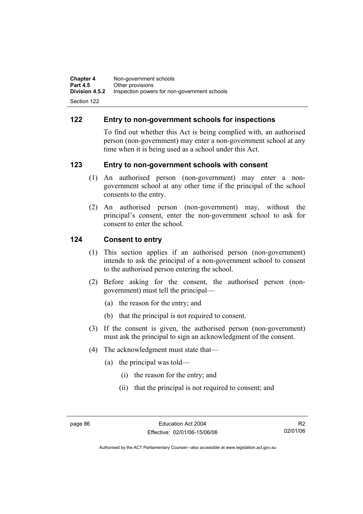| <b>Chapter 4</b>      | Non-government schools                       |
|-----------------------|----------------------------------------------|
| <b>Part 4.5</b>       | Other provisions                             |
| <b>Division 4.5.2</b> | Inspection powers for non-government schools |
| Section 122           |                                              |

**122 Entry to non-government schools for inspections** 

To find out whether this Act is being complied with, an authorised person (non-government) may enter a non-government school at any time when it is being used as a school under this Act.

### **123 Entry to non-government schools with consent**

- (1) An authorised person (non-government) may enter a nongovernment school at any other time if the principal of the school consents to the entry.
- (2) An authorised person (non-government) may, without the principal's consent, enter the non-government school to ask for consent to enter the school.

### **124 Consent to entry**

- (1) This section applies if an authorised person (non-government) intends to ask the principal of a non-government school to consent to the authorised person entering the school.
- (2) Before asking for the consent, the authorised person (nongovernment) must tell the principal—
	- (a) the reason for the entry; and
	- (b) that the principal is not required to consent.
- (3) If the consent is given, the authorised person (non-government) must ask the principal to sign an acknowledgment of the consent.
- (4) The acknowledgment must state that—
	- (a) the principal was told—
		- (i) the reason for the entry; and
		- (ii) that the principal is not required to consent; and

R2 02/01/06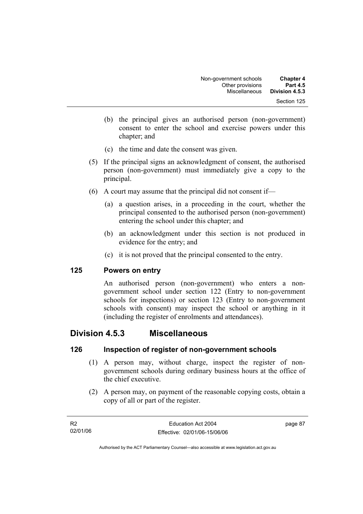- (b) the principal gives an authorised person (non-government) consent to enter the school and exercise powers under this chapter; and
- (c) the time and date the consent was given.
- (5) If the principal signs an acknowledgment of consent, the authorised person (non-government) must immediately give a copy to the principal.
- (6) A court may assume that the principal did not consent if—
	- (a) a question arises, in a proceeding in the court, whether the principal consented to the authorised person (non-government) entering the school under this chapter; and
	- (b) an acknowledgment under this section is not produced in evidence for the entry; and
	- (c) it is not proved that the principal consented to the entry.

### **125 Powers on entry**

An authorised person (non-government) who enters a nongovernment school under section 122 (Entry to non-government schools for inspections) or section 123 (Entry to non-government schools with consent) may inspect the school or anything in it (including the register of enrolments and attendances).

# **Division 4.5.3 Miscellaneous**

### **126 Inspection of register of non-government schools**

- (1) A person may, without charge, inspect the register of nongovernment schools during ordinary business hours at the office of the chief executive.
- (2) A person may, on payment of the reasonable copying costs, obtain a copy of all or part of the register.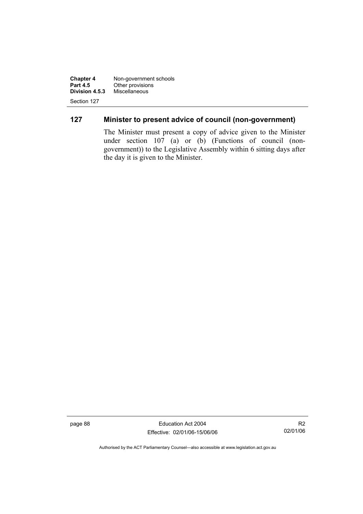**Chapter 4** Non-government schools **Part 4.5 Other provisions Division 4.5.3** Miscellaneous

Section 127

### **127 Minister to present advice of council (non-government)**

The Minister must present a copy of advice given to the Minister under section 107 (a) or (b) (Functions of council (nongovernment)) to the Legislative Assembly within 6 sitting days after the day it is given to the Minister.

page 88 Education Act 2004 Effective: 02/01/06-15/06/06

R2 02/01/06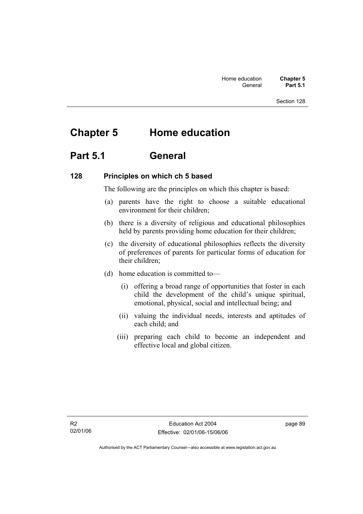# **Chapter 5 Home education**

# **Part 5.1 General**

#### **128 Principles on which ch 5 based**

The following are the principles on which this chapter is based:

- (a) parents have the right to choose a suitable educational environment for their children;
- (b) there is a diversity of religious and educational philosophies held by parents providing home education for their children;
- (c) the diversity of educational philosophies reflects the diversity of preferences of parents for particular forms of education for their children;
- (d) home education is committed to—
	- (i) offering a broad range of opportunities that foster in each child the development of the child's unique spiritual, emotional, physical, social and intellectual being; and
	- (ii) valuing the individual needs, interests and aptitudes of each child; and
	- (iii) preparing each child to become an independent and effective local and global citizen.

page 89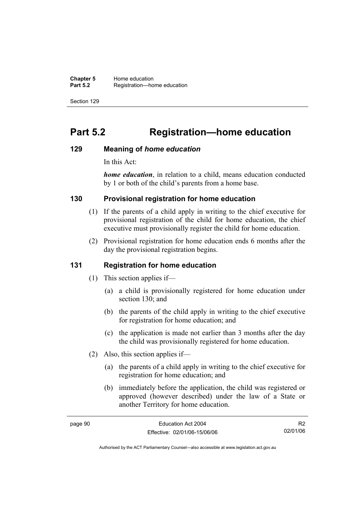**Chapter 5** Home education **Part 5.2** Registration—home education

Section 129

# **Part 5.2 Registration—home education**

#### **129 Meaning of** *home education*

In this Act:

*home education*, in relation to a child, means education conducted by 1 or both of the child's parents from a home base.

#### **130 Provisional registration for home education**

- (1) If the parents of a child apply in writing to the chief executive for provisional registration of the child for home education, the chief executive must provisionally register the child for home education.
- (2) Provisional registration for home education ends 6 months after the day the provisional registration begins.

#### **131 Registration for home education**

- (1) This section applies if—
	- (a) a child is provisionally registered for home education under section 130; and
	- (b) the parents of the child apply in writing to the chief executive for registration for home education; and
	- (c) the application is made not earlier than 3 months after the day the child was provisionally registered for home education.
- (2) Also, this section applies if—
	- (a) the parents of a child apply in writing to the chief executive for registration for home education; and
	- (b) immediately before the application, the child was registered or approved (however described) under the law of a State or another Territory for home education.

R2 02/01/06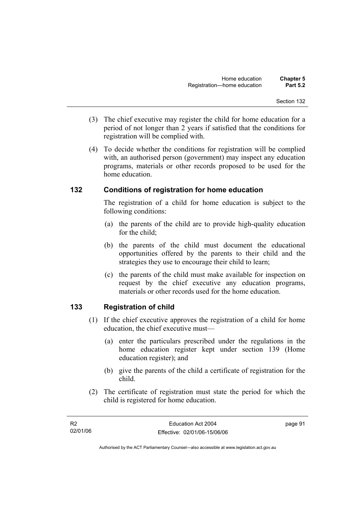- (3) The chief executive may register the child for home education for a period of not longer than 2 years if satisfied that the conditions for registration will be complied with.
- (4) To decide whether the conditions for registration will be complied with, an authorised person (government) may inspect any education programs, materials or other records proposed to be used for the home education.

### **132 Conditions of registration for home education**

The registration of a child for home education is subject to the following conditions:

- (a) the parents of the child are to provide high-quality education for the child;
- (b) the parents of the child must document the educational opportunities offered by the parents to their child and the strategies they use to encourage their child to learn;
- (c) the parents of the child must make available for inspection on request by the chief executive any education programs, materials or other records used for the home education.

### **133 Registration of child**

- (1) If the chief executive approves the registration of a child for home education, the chief executive must—
	- (a) enter the particulars prescribed under the regulations in the home education register kept under section 139 (Home education register); and
	- (b) give the parents of the child a certificate of registration for the child.
- (2) The certificate of registration must state the period for which the child is registered for home education.

page 91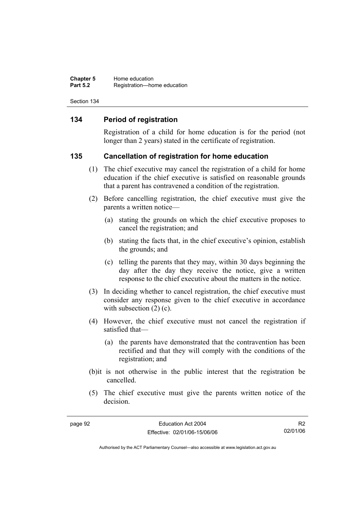**Chapter 5** Home education **Part 5.2** Registration—home education

Section 134

#### **134 Period of registration**

Registration of a child for home education is for the period (not longer than 2 years) stated in the certificate of registration.

#### **135 Cancellation of registration for home education**

- (1) The chief executive may cancel the registration of a child for home education if the chief executive is satisfied on reasonable grounds that a parent has contravened a condition of the registration.
- (2) Before cancelling registration, the chief executive must give the parents a written notice—
	- (a) stating the grounds on which the chief executive proposes to cancel the registration; and
	- (b) stating the facts that, in the chief executive's opinion, establish the grounds; and
	- (c) telling the parents that they may, within 30 days beginning the day after the day they receive the notice, give a written response to the chief executive about the matters in the notice.
- (3) In deciding whether to cancel registration, the chief executive must consider any response given to the chief executive in accordance with subsection  $(2)$  (c).
- (4) However, the chief executive must not cancel the registration if satisfied that—
	- (a) the parents have demonstrated that the contravention has been rectified and that they will comply with the conditions of the registration; and
- (b)it is not otherwise in the public interest that the registration be cancelled.
- (5) The chief executive must give the parents written notice of the decision.

R2 02/01/06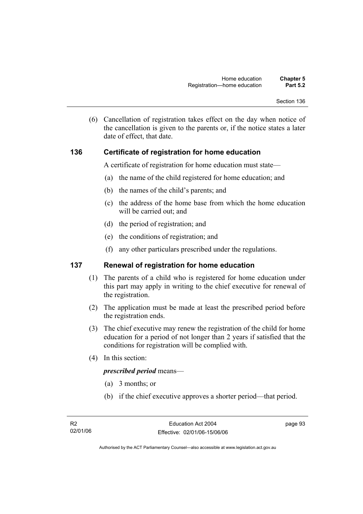(6) Cancellation of registration takes effect on the day when notice of the cancellation is given to the parents or, if the notice states a later date of effect, that date.

#### **136 Certificate of registration for home education**

A certificate of registration for home education must state—

- (a) the name of the child registered for home education; and
- (b) the names of the child's parents; and
- (c) the address of the home base from which the home education will be carried out; and
- (d) the period of registration; and
- (e) the conditions of registration; and
- (f) any other particulars prescribed under the regulations.

#### **137 Renewal of registration for home education**

- (1) The parents of a child who is registered for home education under this part may apply in writing to the chief executive for renewal of the registration.
- (2) The application must be made at least the prescribed period before the registration ends.
- (3) The chief executive may renew the registration of the child for home education for a period of not longer than 2 years if satisfied that the conditions for registration will be complied with.
- (4) In this section:

#### *prescribed period* means—

- (a) 3 months; or
- (b) if the chief executive approves a shorter period—that period.

page 93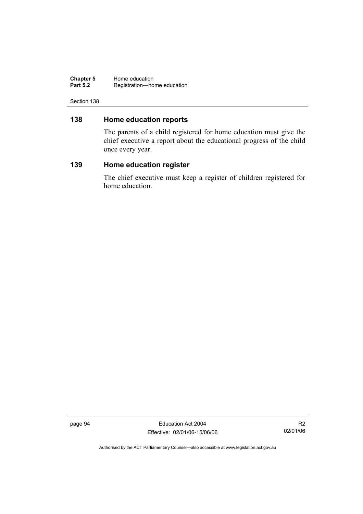**Chapter 5** Home education<br>**Part 5.2** Registration-home **Part 5.2** Registration—home education

Section 138

### **138 Home education reports**

The parents of a child registered for home education must give the chief executive a report about the educational progress of the child once every year.

### **139 Home education register**

The chief executive must keep a register of children registered for home education.

page 94 Education Act 2004 Effective: 02/01/06-15/06/06

R2 02/01/06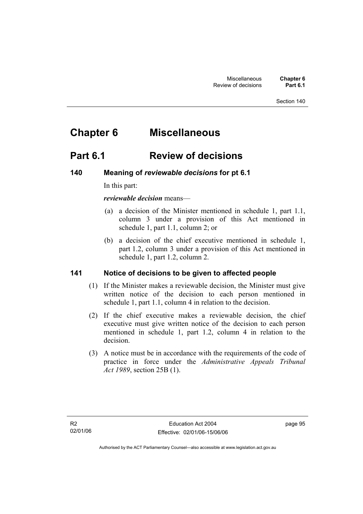# **Chapter 6 Miscellaneous**

# **Part 6.1 Review of decisions**

#### **140 Meaning of** *reviewable decisions* **for pt 6.1**

In this part:

*reviewable decision* means—

- (a) a decision of the Minister mentioned in schedule 1, part 1.1, column 3 under a provision of this Act mentioned in schedule 1, part 1.1, column 2; or
- (b) a decision of the chief executive mentioned in schedule 1, part 1.2, column 3 under a provision of this Act mentioned in schedule 1, part 1.2, column 2.

### **141 Notice of decisions to be given to affected people**

- (1) If the Minister makes a reviewable decision, the Minister must give written notice of the decision to each person mentioned in schedule 1, part 1.1, column 4 in relation to the decision.
- (2) If the chief executive makes a reviewable decision, the chief executive must give written notice of the decision to each person mentioned in schedule 1, part 1.2, column 4 in relation to the decision.
- (3) A notice must be in accordance with the requirements of the code of practice in force under the *Administrative Appeals Tribunal Act 1989*, section 25B (1).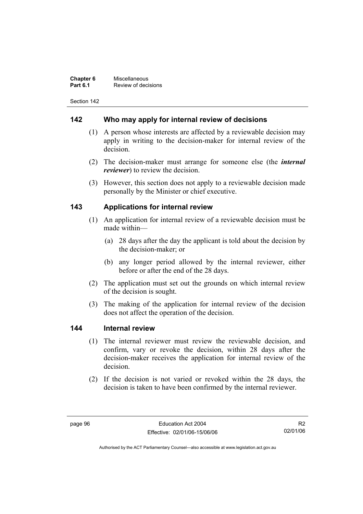| <b>Chapter 6</b> | <b>Miscellaneous</b> |
|------------------|----------------------|
| <b>Part 6.1</b>  | Review of decisions  |

#### **142 Who may apply for internal review of decisions**

- (1) A person whose interests are affected by a reviewable decision may apply in writing to the decision-maker for internal review of the decision.
- (2) The decision-maker must arrange for someone else (the *internal reviewer*) to review the decision.
- (3) However, this section does not apply to a reviewable decision made personally by the Minister or chief executive.

#### **143 Applications for internal review**

- (1) An application for internal review of a reviewable decision must be made within—
	- (a) 28 days after the day the applicant is told about the decision by the decision-maker; or
	- (b) any longer period allowed by the internal reviewer, either before or after the end of the 28 days.
- (2) The application must set out the grounds on which internal review of the decision is sought.
- (3) The making of the application for internal review of the decision does not affect the operation of the decision.

#### **144 Internal review**

- (1) The internal reviewer must review the reviewable decision, and confirm, vary or revoke the decision, within 28 days after the decision-maker receives the application for internal review of the decision.
- (2) If the decision is not varied or revoked within the 28 days, the decision is taken to have been confirmed by the internal reviewer.

R2 02/01/06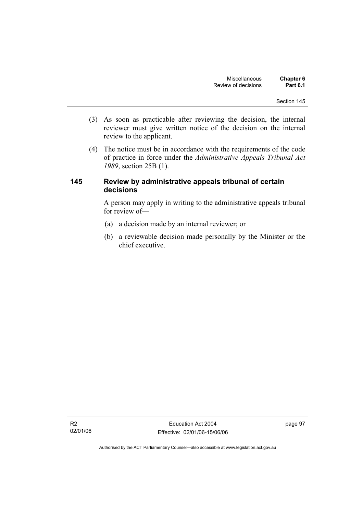- (3) As soon as practicable after reviewing the decision, the internal reviewer must give written notice of the decision on the internal review to the applicant.
- (4) The notice must be in accordance with the requirements of the code of practice in force under the *Administrative Appeals Tribunal Act 1989*, section 25B (1).

#### **145 Review by administrative appeals tribunal of certain decisions**

A person may apply in writing to the administrative appeals tribunal for review of—

- (a) a decision made by an internal reviewer; or
- (b) a reviewable decision made personally by the Minister or the chief executive.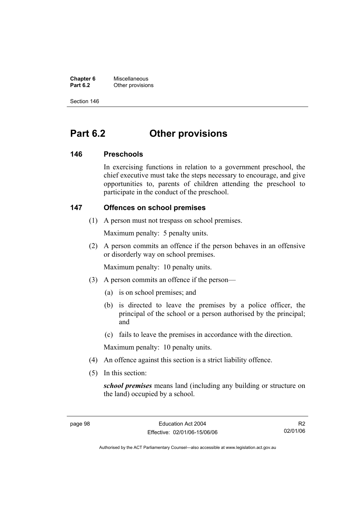**Chapter 6** Miscellaneous<br>**Part 6.2** Other provision **Other provisions** 

Section 146

# **Part 6.2 Other provisions**

#### **146 Preschools**

In exercising functions in relation to a government preschool, the chief executive must take the steps necessary to encourage, and give opportunities to, parents of children attending the preschool to participate in the conduct of the preschool.

#### **147 Offences on school premises**

(1) A person must not trespass on school premises.

Maximum penalty: 5 penalty units.

 (2) A person commits an offence if the person behaves in an offensive or disorderly way on school premises.

Maximum penalty: 10 penalty units.

- (3) A person commits an offence if the person—
	- (a) is on school premises; and
	- (b) is directed to leave the premises by a police officer, the principal of the school or a person authorised by the principal; and
	- (c) fails to leave the premises in accordance with the direction.

Maximum penalty: 10 penalty units.

- (4) An offence against this section is a strict liability offence.
- (5) In this section:

*school premises* means land (including any building or structure on the land) occupied by a school.

R2 02/01/06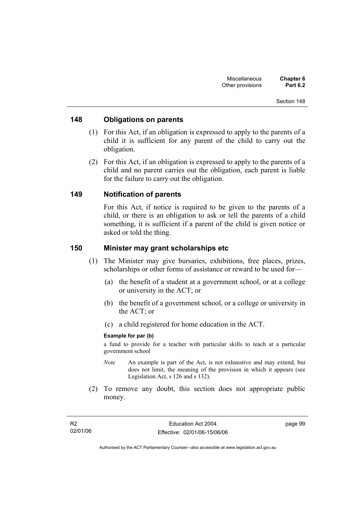Section 148

## **148 Obligations on parents**

- (1) For this Act, if an obligation is expressed to apply to the parents of a child it is sufficient for any parent of the child to carry out the obligation.
- (2) For this Act, if an obligation is expressed to apply to the parents of a child and no parent carries out the obligation, each parent is liable for the failure to carry out the obligation.

### **149 Notification of parents**

For this Act, if notice is required to be given to the parents of a child, or there is an obligation to ask or tell the parents of a child something, it is sufficient if a parent of the child is given notice or asked or told the thing.

### **150 Minister may grant scholarships etc**

- (1) The Minister may give bursaries, exhibitions, free places, prizes, scholarships or other forms of assistance or reward to be used for—
	- (a) the benefit of a student at a government school, or at a college or university in the ACT; or
	- (b) the benefit of a government school, or a college or university in the ACT; or
	- (c) a child registered for home education in the ACT.

#### **Example for par (b)**

a fund to provide for a teacher with particular skills to teach at a particular government school

- *Note* An example is part of the Act, is not exhaustive and may extend, but does not limit, the meaning of the provision in which it appears (see Legislation Act, s 126 and s 132).
- (2) To remove any doubt, this section does not appropriate public money.

page 99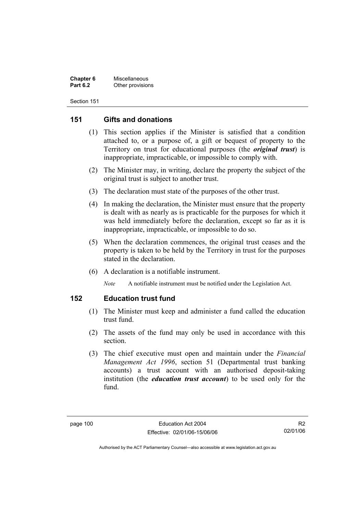| <b>Chapter 6</b> | <b>Miscellaneous</b> |
|------------------|----------------------|
| <b>Part 6.2</b>  | Other provisions     |

## **151 Gifts and donations**

- (1) This section applies if the Minister is satisfied that a condition attached to, or a purpose of, a gift or bequest of property to the Territory on trust for educational purposes (the *original trust*) is inappropriate, impracticable, or impossible to comply with.
- (2) The Minister may, in writing, declare the property the subject of the original trust is subject to another trust.
- (3) The declaration must state of the purposes of the other trust.
- (4) In making the declaration, the Minister must ensure that the property is dealt with as nearly as is practicable for the purposes for which it was held immediately before the declaration, except so far as it is inappropriate, impracticable, or impossible to do so.
- (5) When the declaration commences, the original trust ceases and the property is taken to be held by the Territory in trust for the purposes stated in the declaration.
- (6) A declaration is a notifiable instrument.

*Note* A notifiable instrument must be notified under the Legislation Act.

## **152 Education trust fund**

- (1) The Minister must keep and administer a fund called the education trust fund.
- (2) The assets of the fund may only be used in accordance with this section.
- (3) The chief executive must open and maintain under the *Financial Management Act 1996*, section 51 (Departmental trust banking accounts) a trust account with an authorised deposit-taking institution (the *education trust account*) to be used only for the fund.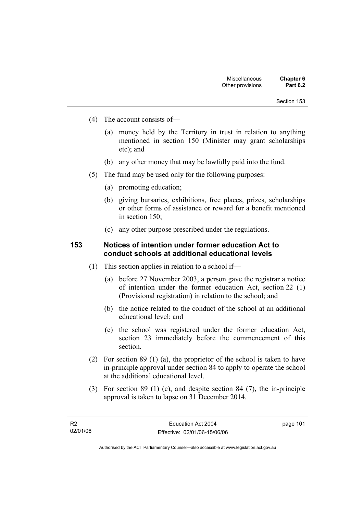Section 153

- (4) The account consists of—
	- (a) money held by the Territory in trust in relation to anything mentioned in section 150 (Minister may grant scholarships etc); and
	- (b) any other money that may be lawfully paid into the fund.
- (5) The fund may be used only for the following purposes:
	- (a) promoting education;
	- (b) giving bursaries, exhibitions, free places, prizes, scholarships or other forms of assistance or reward for a benefit mentioned in section 150;
	- (c) any other purpose prescribed under the regulations.

### **153 Notices of intention under former education Act to conduct schools at additional educational levels**

- (1) This section applies in relation to a school if—
	- (a) before 27 November 2003, a person gave the registrar a notice of intention under the former education Act, section 22 (1) (Provisional registration) in relation to the school; and
	- (b) the notice related to the conduct of the school at an additional educational level; and
	- (c) the school was registered under the former education Act, section 23 immediately before the commencement of this section.
- (2) For section 89 (1) (a), the proprietor of the school is taken to have in-principle approval under section 84 to apply to operate the school at the additional educational level.
- (3) For section 89 (1) (c), and despite section 84 (7), the in-principle approval is taken to lapse on 31 December 2014.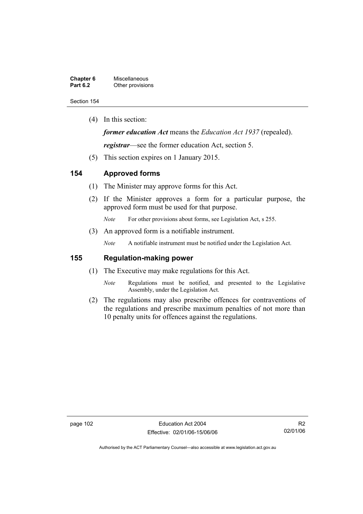| Chapter 6       | Miscellaneous    |  |
|-----------------|------------------|--|
| <b>Part 6.2</b> | Other provisions |  |

#### Section 154

(4) In this section:

#### *former education Act* means the *Education Act 1937* (repealed).

*registrar*—see the former education Act, section 5.

(5) This section expires on 1 January 2015.

## **154 Approved forms**

- (1) The Minister may approve forms for this Act.
- (2) If the Minister approves a form for a particular purpose, the approved form must be used for that purpose.

*Note* For other provisions about forms, see Legislation Act, s 255.

(3) An approved form is a notifiable instrument.

*Note* A notifiable instrument must be notified under the Legislation Act.

# **155 Regulation-making power**

- (1) The Executive may make regulations for this Act.
	- *Note* Regulations must be notified, and presented to the Legislative Assembly, under the Legislation Act.
- (2) The regulations may also prescribe offences for contraventions of the regulations and prescribe maximum penalties of not more than 10 penalty units for offences against the regulations.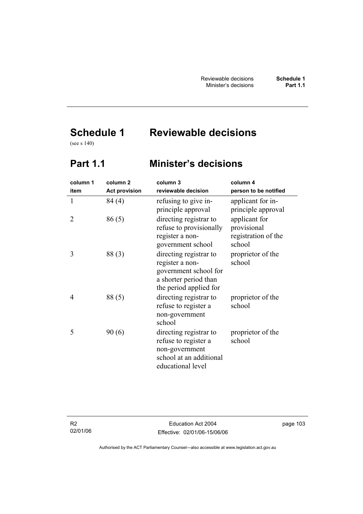# **Schedule 1 Reviewable decisions**

(see s 140)

# **Part 1.1 Minister's decisions**

| column 1 | column <sub>2</sub>  | column 3                                                                                                              | column 4                                                      |
|----------|----------------------|-----------------------------------------------------------------------------------------------------------------------|---------------------------------------------------------------|
| item     | <b>Act provision</b> | reviewable decision                                                                                                   | person to be notified                                         |
| 1        | 84 (4)               | refusing to give in-<br>principle approval                                                                            | applicant for in-<br>principle approval                       |
| 2        | 86(5)                | directing registrar to<br>refuse to provisionally<br>register a non-<br>government school                             | applicant for<br>provisional<br>registration of the<br>school |
| 3        | 88(3)                | directing registrar to<br>register a non-<br>government school for<br>a shorter period than<br>the period applied for | proprietor of the<br>school                                   |
| 4        | 88(5)                | directing registrar to<br>refuse to register a<br>non-government<br>school                                            | proprietor of the<br>school                                   |
| 5        | 90(6)                | directing registrar to<br>refuse to register a<br>non-government<br>school at an additional<br>educational level      | proprietor of the<br>school                                   |

R2 02/01/06 page 103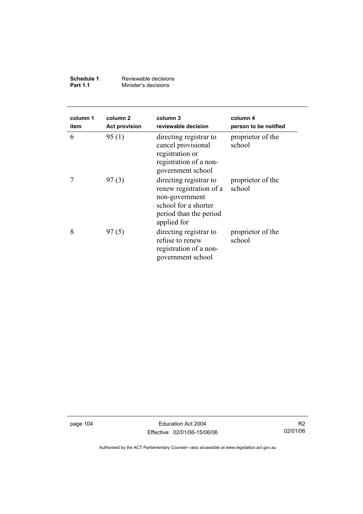| Schedule 1      | Reviewable decisions |
|-----------------|----------------------|
| <b>Part 1.1</b> | Minister's decisions |

| column 1<br>item | column 2<br><b>Act provision</b> | column 3<br>reviewable decision                                                                                                      | column 4<br>person to be notified |
|------------------|----------------------------------|--------------------------------------------------------------------------------------------------------------------------------------|-----------------------------------|
| 6                | 95(1)                            | directing registrar to<br>cancel provisional<br>registration or<br>registration of a non-<br>government school                       | proprietor of the<br>school       |
|                  | 97(3)                            | directing registrar to<br>renew registration of a<br>non-government<br>school for a shorter<br>period than the period<br>applied for | proprietor of the<br>school       |
| 8                | 97(5)                            | directing registrar to<br>refuse to renew<br>registration of a non-<br>government school                                             | proprietor of the<br>school       |

page 104 Education Act 2004 Effective: 02/01/06-15/06/06

R2 02/01/06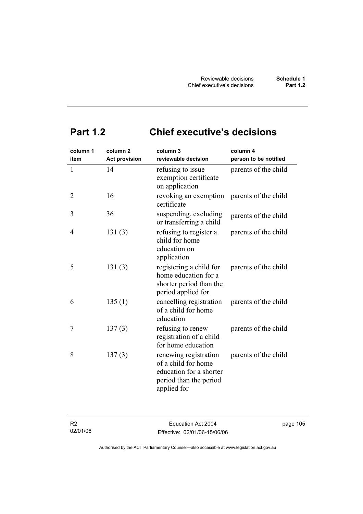# **Part 1.2 Chief executive's decisions**

| column 1       | column <sub>2</sub>  | column 3                                                                                                         | column 4              |
|----------------|----------------------|------------------------------------------------------------------------------------------------------------------|-----------------------|
| item           | <b>Act provision</b> | reviewable decision                                                                                              | person to be notified |
| $\mathbf{1}$   | 14                   | refusing to issue<br>exemption certificate<br>on application                                                     | parents of the child  |
| $\overline{2}$ | 16                   | revoking an exemption<br>certificate                                                                             | parents of the child  |
| 3              | 36                   | suspending, excluding<br>or transferring a child                                                                 | parents of the child  |
| 4              | 131(3)               | refusing to register a<br>child for home<br>education on<br>application                                          | parents of the child  |
| 5              | 131(3)               | registering a child for<br>home education for a<br>shorter period than the<br>period applied for                 | parents of the child  |
| 6              | 135(1)               | cancelling registration<br>of a child for home<br>education                                                      | parents of the child  |
| 7              | 137(3)               | refusing to renew<br>registration of a child<br>for home education                                               | parents of the child  |
| 8              | 137(3)               | renewing registration<br>of a child for home<br>education for a shorter<br>period than the period<br>applied for | parents of the child  |

Education Act 2004 Effective: 02/01/06-15/06/06 page 105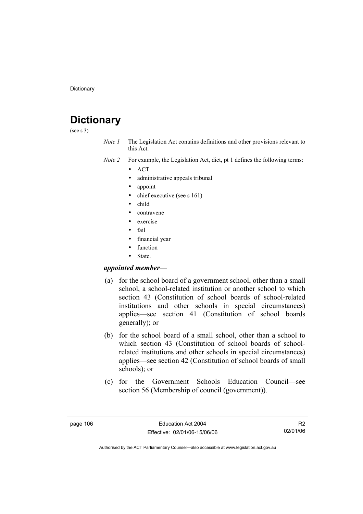# **Dictionary**

(see s 3)

- *Note 1* The Legislation Act contains definitions and other provisions relevant to this Act.
- *Note 2* For example, the Legislation Act, dict, pt 1 defines the following terms:
	- ACT
		- administrative appeals tribunal
		- appoint
	- chief executive (see s 161)
	- child
	- contravene
	- exercise
	- fail
	- financial year
	- function
	- State.

## *appointed member*—

- (a) for the school board of a government school, other than a small school, a school-related institution or another school to which section 43 (Constitution of school boards of school-related institutions and other schools in special circumstances) applies—see section 41 (Constitution of school boards generally); or
- (b) for the school board of a small school, other than a school to which section 43 (Constitution of school boards of schoolrelated institutions and other schools in special circumstances) applies—see section 42 (Constitution of school boards of small schools); or
- (c) for the Government Schools Education Council—see section 56 (Membership of council (government)).

R2 02/01/06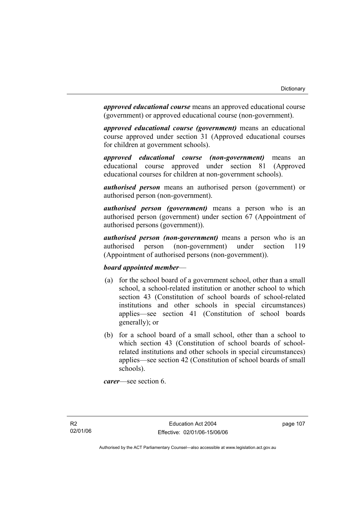*approved educational course* means an approved educational course (government) or approved educational course (non-government).

*approved educational course (government)* means an educational course approved under section 31 (Approved educational courses for children at government schools).

*approved educational course (non-government)* means an educational course approved under section 81 (Approved educational courses for children at non-government schools).

*authorised person* means an authorised person (government) or authorised person (non-government).

*authorised person (government)* means a person who is an authorised person (government) under section 67 (Appointment of authorised persons (government)).

*authorised person (non-government)* means a person who is an authorised person (non-government) under section 119 (Appointment of authorised persons (non-government)).

#### *board appointed member*—

- (a) for the school board of a government school, other than a small school, a school-related institution or another school to which section 43 (Constitution of school boards of school-related institutions and other schools in special circumstances) applies—see section 41 (Constitution of school boards generally); or
- (b) for a school board of a small school, other than a school to which section 43 (Constitution of school boards of schoolrelated institutions and other schools in special circumstances) applies—see section 42 (Constitution of school boards of small schools).

*carer*—see section 6.

page 107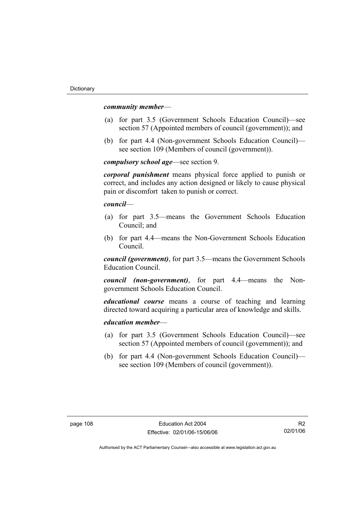#### *community member*—

- (a) for part 3.5 (Government Schools Education Council)—see section 57 (Appointed members of council (government)); and
- (b) for part 4.4 (Non-government Schools Education Council) see section 109 (Members of council (government)).

*compulsory school age*—see section 9.

*corporal punishment* means physical force applied to punish or correct, and includes any action designed or likely to cause physical pain or discomfort taken to punish or correct.

*council*—

- (a) for part 3.5—means the Government Schools Education Council; and
- (b) for part 4.4—means the Non-Government Schools Education Council.

*council (government)*, for part 3.5—means the Government Schools Education Council.

*council (non-government)*, for part 4.4—means the Nongovernment Schools Education Council.

*educational course* means a course of teaching and learning directed toward acquiring a particular area of knowledge and skills.

#### *education member*—

- (a) for part 3.5 (Government Schools Education Council)—see section 57 (Appointed members of council (government)); and
- (b) for part 4.4 (Non-government Schools Education Council) see section 109 (Members of council (government)).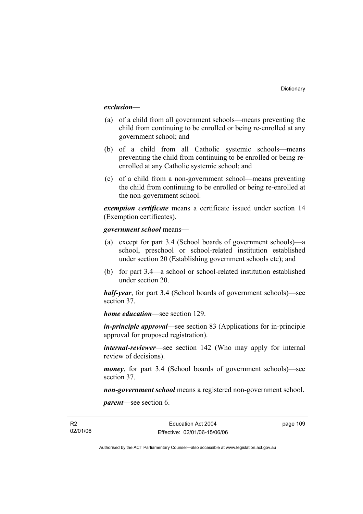#### *exclusion***—**

- (a) of a child from all government schools—means preventing the child from continuing to be enrolled or being re-enrolled at any government school; and
- (b) of a child from all Catholic systemic schools—means preventing the child from continuing to be enrolled or being reenrolled at any Catholic systemic school; and
- (c) of a child from a non-government school—means preventing the child from continuing to be enrolled or being re-enrolled at the non-government school.

*exemption certificate* means a certificate issued under section 14 (Exemption certificates).

#### *government school* means*—*

- (a) except for part 3.4 (School boards of government schools)—a school, preschool or school-related institution established under section 20 (Establishing government schools etc); and
- (b) for part 3.4—a school or school-related institution established under section 20.

*half-year*, for part 3.4 (School boards of government schools)—see section 37.

*home education*—see section 129.

*in-principle approval*—see section 83 (Applications for in-principle approval for proposed registration).

*internal-reviewer*—see section 142 (Who may apply for internal review of decisions).

*money*, for part 3.4 (School boards of government schools)—see section 37.

*non-government school* means a registered non-government school.

*parent*—see section 6.

page 109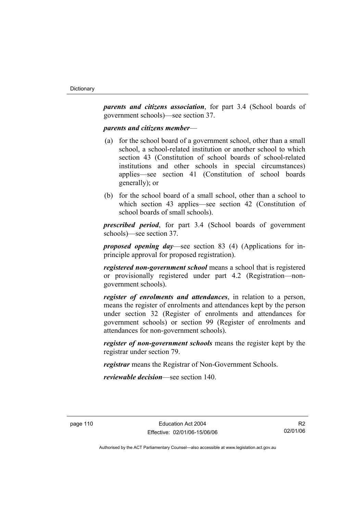*parents and citizens association*, for part 3.4 (School boards of government schools)—see section 37.

#### *parents and citizens member*—

- (a) for the school board of a government school, other than a small school, a school-related institution or another school to which section 43 (Constitution of school boards of school-related institutions and other schools in special circumstances) applies—see section 41 (Constitution of school boards generally); or
- (b) for the school board of a small school, other than a school to which section 43 applies—see section 42 (Constitution of school boards of small schools).

*prescribed period*, for part 3.4 (School boards of government schools)—see section 37.

*proposed opening day*—see section 83 (4) (Applications for inprinciple approval for proposed registration).

*registered non-government school* means a school that is registered or provisionally registered under part 4.2 (Registration—nongovernment schools).

*register of enrolments and attendances*, in relation to a person, means the register of enrolments and attendances kept by the person under section 32 (Register of enrolments and attendances for government schools) or section 99 (Register of enrolments and attendances for non-government schools).

*register of non-government schools* means the register kept by the registrar under section 79.

*registrar* means the Registrar of Non-Government Schools.

*reviewable decision*—see section 140.

R2 02/01/06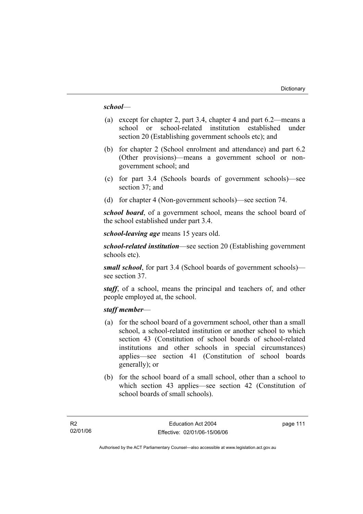#### *school*—

- (a) except for chapter 2, part 3.4, chapter 4 and part 6.2—means a school or school-related institution established under section 20 (Establishing government schools etc); and
- (b) for chapter 2 (School enrolment and attendance) and part 6.2 (Other provisions)—means a government school or nongovernment school; and
- (c) for part 3.4 (Schools boards of government schools)—see section 37; and
- (d) for chapter 4 (Non-government schools)—see section 74.

*school board*, of a government school, means the school board of the school established under part 3.4.

*school-leaving age* means 15 years old.

*school-related institution*—see section 20 (Establishing government schools etc).

*small school*, for part 3.4 (School boards of government schools) see section 37.

*staff*, of a school, means the principal and teachers of, and other people employed at, the school.

#### *staff member*—

- (a) for the school board of a government school, other than a small school, a school-related institution or another school to which section 43 (Constitution of school boards of school-related institutions and other schools in special circumstances) applies—see section 41 (Constitution of school boards generally); or
- (b) for the school board of a small school, other than a school to which section 43 applies—see section 42 (Constitution of school boards of small schools).

page 111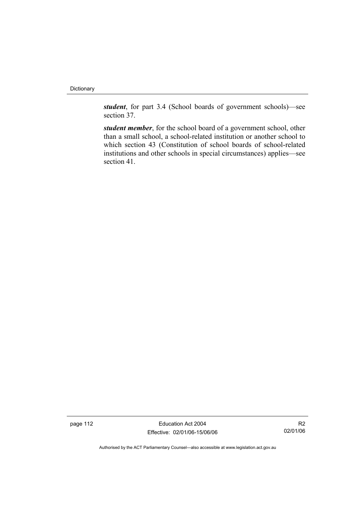*student*, for part 3.4 (School boards of government schools)—see section 37.

*student member*, for the school board of a government school, other than a small school, a school-related institution or another school to which section 43 (Constitution of school boards of school-related institutions and other schools in special circumstances) applies—see section 41.

page 112 **Education Act 2004** Effective: 02/01/06-15/06/06

R2 02/01/06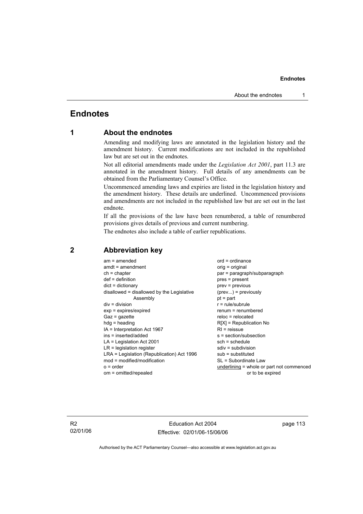# **Endnotes**

# **1 About the endnotes**

Amending and modifying laws are annotated in the legislation history and the amendment history. Current modifications are not included in the republished law but are set out in the endnotes.

Not all editorial amendments made under the *Legislation Act 2001*, part 11.3 are annotated in the amendment history. Full details of any amendments can be obtained from the Parliamentary Counsel's Office.

Uncommenced amending laws and expiries are listed in the legislation history and the amendment history. These details are underlined. Uncommenced provisions and amendments are not included in the republished law but are set out in the last endnote.

If all the provisions of the law have been renumbered, a table of renumbered provisions gives details of previous and current numbering.

The endnotes also include a table of earlier republications.

| $am = amended$                             | $ord = ordinance$                         |
|--------------------------------------------|-------------------------------------------|
| $amdt = amendment$                         | orig = original                           |
| $ch = chapter$                             | par = paragraph/subparagraph              |
| $def = definition$                         | $pres = present$                          |
| $dict = dictionary$                        | $prev = previous$                         |
| disallowed = disallowed by the Legislative | $(\text{prev}) = \text{previously}$       |
| Assembly                                   | $pt = part$                               |
| $div = division$                           | $r = rule/subrule$                        |
| $exp = expires/expired$                    | $renum = renumbered$                      |
| $Gaz = gazette$                            | $reloc = relocated$                       |
| $hda =$ heading                            | $R[X]$ = Republication No                 |
| IA = Interpretation Act 1967               | $RI =$ reissue                            |
| ins = inserted/added                       | $s = section/subsection$                  |
| $LA =$ Legislation Act 2001                | $sch = schedule$                          |
| $LR =$ legislation register                | $sdiv = subdivision$                      |
| LRA = Legislation (Republication) Act 1996 | $sub =$ substituted                       |
| $mod = modified/modification$              | SL = Subordinate Law                      |
| $o = order$                                | underlining = whole or part not commenced |
| om = omitted/repealed                      | or to be expired                          |
|                                            |                                           |

### **2 Abbreviation key**

R2 02/01/06

Education Act 2004 Effective: 02/01/06-15/06/06 page 113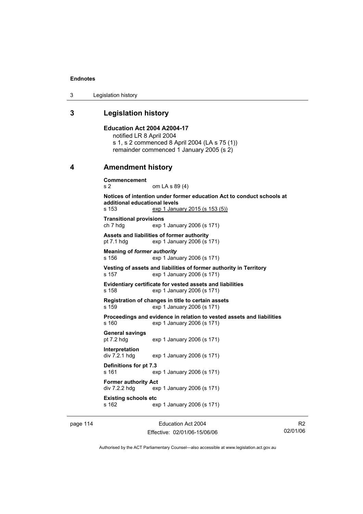3 Legislation history

# **3 Legislation history**

**Education Act 2004 A2004-17**  notified LR 8 April 2004 s 1, s 2 commenced 8 April 2004 (LA s 75 (1)) remainder commenced 1 January 2005 (s 2)

#### **4 Amendment history**

**Commencement**  s 2 om LA s 89 (4) **Notices of intention under former education Act to conduct schools at additional educational levels**  s 153 exp 1 January 2015 (s 153 (5)) **Transitional provisions**  ch 7 hdg exp 1 January 2006 (s 171) **Assets and liabilities of former authority**  pt 7.1 hdg exp 1 January 2006 (s 171) **Meaning of** *former authority* s 156 exp 1 January 2006 (s 171) **Vesting of assets and liabilities of former authority in Territory**  s 157 exp 1 January 2006 (s 171) **Evidentiary certificate for vested assets and liabilities**  s 158 exp 1 January 2006 (s 171) **Registration of changes in title to certain assets**  s 159 exp 1 January 2006 (s 171) **Proceedings and evidence in relation to vested assets and liabilities**  s 160 exp 1 January 2006 (s 171) **General savings**  exp 1 January 2006 (s 171) **Interpretation**  div 7.2.1 hdg exp 1 January 2006 (s 171) **Definitions for pt 7.3** 

s 161 exp 1 January 2006 (s 171) **Former authority Act**  div 7.2.2 hdg exp 1 January 2006 (s 171) **Existing schools etc**  s 162 exp 1 January 2006 (s 171)

page 114 Education Act 2004 Effective: 02/01/06-15/06/06

R2 02/01/06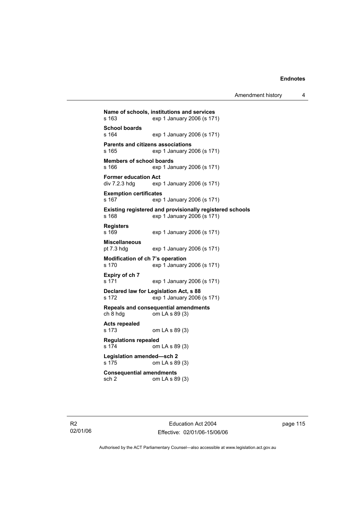```
Name of schools, institutions and services 
                 exp 1 January 2006 (s 171)
School boards 
s 164 exp 1 January 2006 (s 171) 
Parents and citizens associations<br>s 165 exp 1 January 20
                 exp 1 January 2006 (s 171)
Members of school boards 
s 166 exp 1 January 2006 (s 171) 
Former education Act div 7.2.3 hdg exp
                 exp 1 January 2006 (s 171)
Exemption certificates 
s 167 exp 1 January 2006 (s 171) 
Existing registered and provisionally registered schools 
s 168 exp 1 January 2006 (s 171) 
Registers 
s 169 exp 1 January 2006 (s 171) 
Miscellaneous 
pt 7.3 hdg exp 1 January 2006 (s 171) 
Modification of ch 7's operation 
s 170 exp 1 January 2006 (s 171) 
Expiry of ch 7 
s 171 exp 1 January 2006 (s 171) 
Declared law for Legislation Act, s 88 
s 172 exp 1 January 2006 (s 171) 
Repeals and consequential amendments<br>ch 8 hdg om LA s 89 (3)
                 om LA s 89 (3)
Acts repealed 
s 173 om LA s 89 (3) 
Regulations repealed 
s 174 om LA s 89 (3) 
Legislation amended—sch 2 
s 175 om LA s 89 (3) 
Consequential amendments 
sch 2 om LA s 89 (3)
```
Education Act 2004 Effective: 02/01/06-15/06/06 page 115